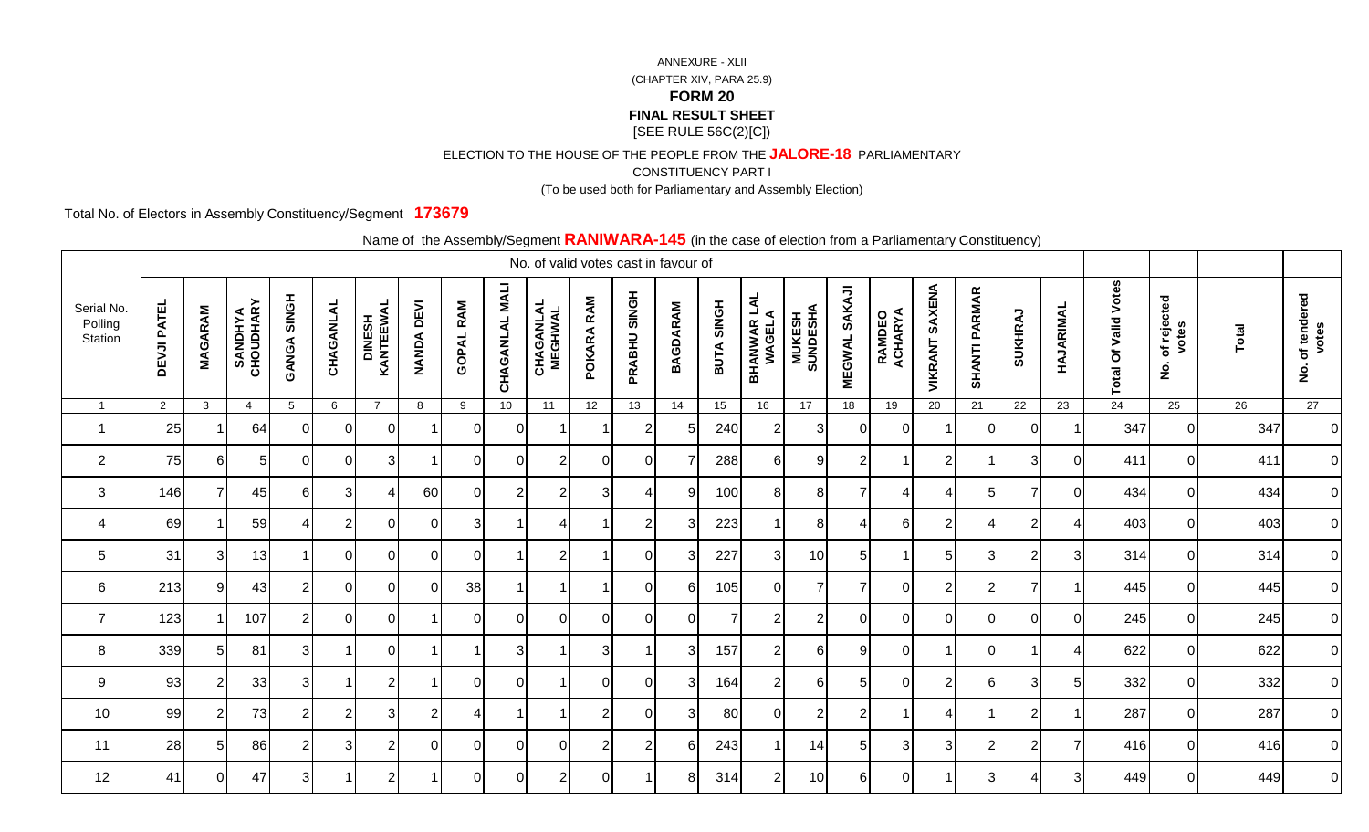ELECTION TO THE HOUSE OF THE PEOPLE FROM THE **JALORE-18** PARLIAMENTARY

CONSTITUENCY PART I

(To be used both for Parliamentary and Assembly Election)

Total No. of Electors in Assembly Constituency/Segment **173679**

|                                  |                    |                |                             |                    |                |                             |                             |                  |                          | No. of valid votes cast in favour of |                 |                |                 |                |                               |                            |                                |                   |                          | <u>------------,</u> |                |           |                             |                                            |       |                                            |
|----------------------------------|--------------------|----------------|-----------------------------|--------------------|----------------|-----------------------------|-----------------------------|------------------|--------------------------|--------------------------------------|-----------------|----------------|-----------------|----------------|-------------------------------|----------------------------|--------------------------------|-------------------|--------------------------|----------------------|----------------|-----------|-----------------------------|--------------------------------------------|-------|--------------------------------------------|
| Serial No.<br>Polling<br>Station | <b>DEVJI PATEL</b> | <b>MAGARAM</b> | <b>SANDHYA</b><br>CHOUDHARY | <b>GANGA SINGH</b> | CHAGANLAL      | <b>DINESH<br/>KANTEEWAL</b> | <b>DEVI</b><br><b>NANDA</b> | <b>GOPAL RAM</b> | <b>NALI</b><br>CHAGANLAL | <b>CHAGANLAL</b><br>MEGHWAL          | RAM<br>POKARA   | PRABHU SINGH   | <b>BAGDARAM</b> | BUTA SINGH     | <b>BHANWAR LAL<br/>WAGELA</b> | <b>MUKESH<br/>SUNDESHA</b> | <b>SAKAJI</b><br><b>MEGWAL</b> | RAMDEO<br>ACHARYA | <b>VIKRANT SAXENA</b>    | <b>SHANTI PARMAR</b> | SUKHRAJ        | HAJARIMAL | <b>Total Of Valid Votes</b> | of rejected<br>votes<br>$\dot{\mathsf{z}}$ | Total | of tendered<br>votes<br>$\dot{\mathbf{2}}$ |
|                                  | $\overline{2}$     | $\mathbf{3}$   | $\overline{4}$              | 5                  | 6              | $\overline{7}$              | 8                           | 9                | 10 <sup>1</sup>          | 11                                   | 12 <sup>2</sup> | 13             | 14              | 15             | 16                            | 17                         | 18                             | 19                | 20                       | 21                   | 22             | 23        | 24                          | 25                                         | 26    | 27                                         |
|                                  | 25                 |                | 64                          | $\Omega$           | ΩI             | $\Omega$                    |                             | $\Omega$         | $\Omega$                 |                                      |                 | $\overline{2}$ | 5               | 240            | $\overline{2}$                | 3                          | $\Omega$                       | $\Omega$          |                          | $\Omega$             | $\Omega$       |           | 347                         | $\Omega$                                   | 347   | $\overline{0}$                             |
| $\overline{2}$                   | 75                 | 61             | 5                           | $\Omega$           | 0.             | 3                           |                             | $\Omega$         | $\Omega$                 | $\overline{2}$                       | $\Omega$        | $\Omega$       |                 | 288            | 6                             | 9                          | $\overline{2}$                 |                   | $\overline{2}$           |                      | 3              | $\Omega$  | 411                         | $\Omega$                                   | 411   | $\overline{0}$                             |
| 3                                | 146                |                | 45                          | $6 \mid$           | $\mathbf{3}$   | 4                           | 60                          | $\overline{0}$   | $\overline{2}$           | $\overline{2}$                       | 3               | 4              | 9               | 100            | 8                             | 8 <sup>1</sup>             | $\overline{7}$                 | 4                 | $\boldsymbol{\varDelta}$ | $\sqrt{5}$           | $\overline{7}$ | $\Omega$  | 434                         | $\mathbf 0$                                | 434   | $\overline{0}$                             |
| 4                                | 69                 |                | 59                          | $\mathbf{A}$       | $\overline{2}$ | $\Omega$                    | $\Omega$                    | 3                |                          | Δ                                    |                 | $\overline{2}$ | 3               | 223            |                               | 8                          | $\overline{4}$                 | 6                 | $\overline{2}$           | $\overline{4}$       | $\overline{c}$ |           | 403                         | $\mathbf 0$                                | 403   | 0                                          |
| 5                                | 31                 | 3              | 13                          |                    | 0.             | 0                           | $\Omega$                    | 0                |                          | $\overline{2}$                       |                 | $\Omega$       | -3              | 227            | 3                             | 10                         | 5                              | -1                | 5                        | 3                    | $\overline{2}$ | 3         | 314                         | $\Omega$                                   | 314   | $\overline{0}$                             |
| 6                                | 213                | 9              | 43                          | $\overline{2}$     | <sup>O</sup>   | $\overline{0}$              | $\Omega$                    | 38               |                          |                                      |                 | $\Omega$       | 6               | 105            | $\overline{0}$                | $\overline{7}$             | $\overline{7}$                 | 0                 | $\overline{2}$           | $\overline{2}$       | $\overline{7}$ |           | 445                         | $\mathbf 0$                                | 445   | $\overline{0}$                             |
| $\overline{7}$                   | 123                |                | 107                         | $\overline{2}$     | $\Omega$       | $\Omega$                    |                             | $\Omega$         | $\Omega$                 | $\Omega$                             | $\Omega$        | $\Omega$       | $\Omega$        | $\overline{7}$ | $\overline{2}$                | $\overline{2}$             | $\Omega$                       | $\Omega$          | 0                        | $\Omega$             | $\Omega$       | $\Omega$  | 245                         | $\Omega$                                   | 245   | $\overline{0}$                             |
| 8                                | 339                | 51             | 81                          | 31                 |                | 0                           |                             |                  | 3                        |                                      | 3               |                | 3               | 157            | $\overline{2}$                | 6                          | 9                              | $\Omega$          |                          | $\Omega$             |                |           | 622                         | $\Omega$                                   | 622   | $\overline{0}$                             |
| 9                                | 93                 | 2              | 33                          | 3 <sup>1</sup>     |                | $\overline{2}$              |                             | $\overline{0}$   | $\overline{0}$           |                                      | $\mathbf{0}$    | 0              | 3               | 164            | $\overline{2}$                | $6 \mid$                   | 5 <sub>l</sub>                 | 0                 | $\overline{2}$           | $6 \mid$             | 3              | 5         | 332                         | $\mathbf 0$                                | 332   | $\overline{0}$                             |
| 10                               | 99                 | 2              | 73                          | $\overline{2}$     | 2              | 3                           | 2                           | 4                | -1                       |                                      | $\overline{2}$  | $\Omega$       | 3               | 80             | $\Omega$                      | $\overline{2}$             | $\overline{2}$                 | $\mathbf 1$       | $\overline{4}$           | $\overline{1}$       | $\overline{c}$ |           | 287                         | $\Omega$                                   | 287   | $\overline{O}$                             |
| 11                               | 28                 | 51             | 86                          | 2 <sub>1</sub>     | $\overline{3}$ | 2                           | $\Omega$                    | $\Omega$         | $\Omega$                 | ∩                                    | $\mathcal{P}$   | $\overline{2}$ | -6              | 243            |                               | 14                         | $\sqrt{5}$                     | 3                 | 3                        | $\overline{2}$       | $\overline{2}$ |           | 416                         | $\Omega$                                   | 416   | $\overline{0}$                             |
| 12                               | 41                 | ΩI             | 47                          | 31                 |                | 2                           |                             | $\Omega$         | $\Omega$                 | $\mathcal{P}$                        | $\Omega$        |                | 8               | 314            | $\overline{2}$                | 10                         | <sup>6</sup>                   | $\Omega$          |                          | 3                    | $\overline{4}$ | 3         | 449                         | $\Omega$                                   | 449   | $\overline{O}$                             |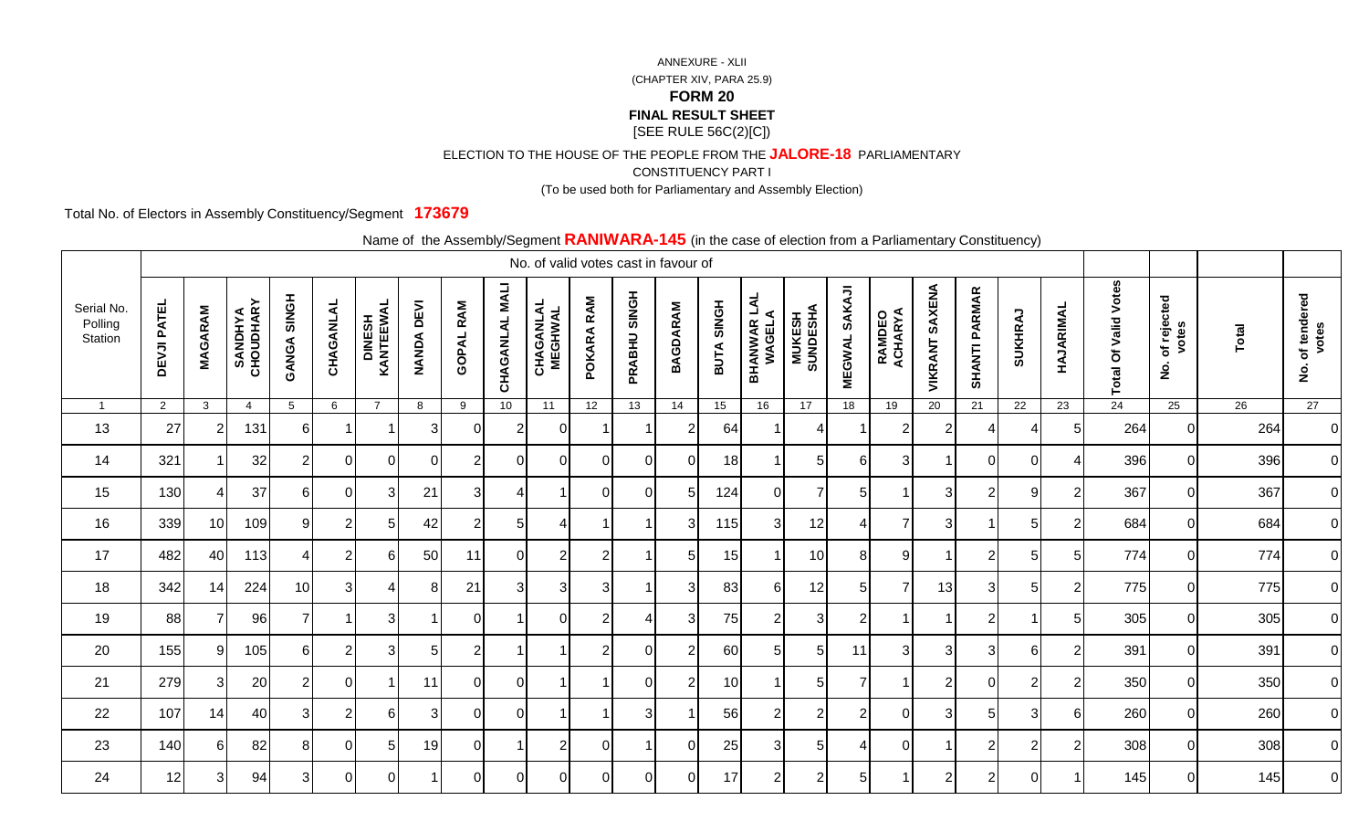ELECTION TO THE HOUSE OF THE PEOPLE FROM THE **JALORE-18** PARLIAMENTARY

CONSTITUENCY PART I

(To be used both for Parliamentary and Assembly Election)

Total No. of Electors in Assembly Constituency/Segment **173679**

|                                  |                    |                |                             |                    |           |                             |                   |                  |                 |                             | No. of valid votes cast in favour of |                |                 |            |                               |                            |                                |                   |                   | <u>------------,</u> |                          |                |                             |                                  |       |                                            |
|----------------------------------|--------------------|----------------|-----------------------------|--------------------|-----------|-----------------------------|-------------------|------------------|-----------------|-----------------------------|--------------------------------------|----------------|-----------------|------------|-------------------------------|----------------------------|--------------------------------|-------------------|-------------------|----------------------|--------------------------|----------------|-----------------------------|----------------------------------|-------|--------------------------------------------|
| Serial No.<br>Polling<br>Station | <b>DEVJI PATEL</b> | <b>MAGARAM</b> | <b>SANDHYA</b><br>CHOUDHARY | <b>GANGA SINGH</b> | CHAGANLAL | <b>DINESH<br/>KANTEEWAL</b> | <b>NANDA DEVI</b> | <b>GOPAL RAM</b> | CHAGANLAL MALI  | <b>CHAGANLAL</b><br>MEGHWAL | RAM<br>POKARA                        | PRABHU SINGH   | <b>BAGDARAM</b> | BUTA SINGH | <b>BHANWAR LAL<br/>WAGELA</b> | <b>MUKESH<br/>SUNDESHA</b> | <b>SAKAJI</b><br><b>MEGWAL</b> | RAMDEO<br>ACHARYA | SAXENA<br>VIKRANT | <b>SHANTI PARMAR</b> | SUKHRAJ                  | HAJARIMAL      | <b>Total Of Valid Votes</b> | of rejected<br>votes<br><u>ş</u> | Total | of tendered<br>votes<br>$\dot{\mathbf{z}}$ |
| $\overline{1}$                   | $\overline{2}$     | $\mathbf{3}$   | $\overline{4}$              | 5                  | 6         | $\overline{7}$              | 8                 | 9                | 10 <sup>°</sup> | 11                          | 12 <sup>2</sup>                      | 13             | 14              | 15         | 16                            | 17                         | 18                             | 19                | 20                | 21                   | 22                       | 23             | 24                          | 25                               | 26    | 27                                         |
| 13                               | 27                 |                | 131                         | 6                  |           |                             | $\mathbf{3}$      | $\Omega$         | $\overline{2}$  | $\Omega$                    |                                      |                | 2               | 64         |                               | Δ                          |                                | 2                 | $\overline{2}$    | Δ                    | $\boldsymbol{\varDelta}$ | 5              | 264                         | ΩI                               | 264   | $\overline{0}$                             |
| 14                               | 321                |                | 32                          | 2                  |           | 0                           | $\Omega$          | $\overline{2}$   | $\Omega$        | 0I                          | $\Omega$                             | $\Omega$       | $\Omega$        | 18         |                               | 5 <sub>l</sub>             | 6                              | 3                 |                   | $\Omega$             | $\Omega$                 |                | 396                         | ΟI                               | 396   | $\overline{0}$                             |
| 15                               | 130                | 4              | 37                          | $6 \mid$           |           | 31                          | 21                | 3 <sup>1</sup>   |                 | -1                          | 0                                    | $\overline{0}$ | 5               | 124        | <sup>O</sup>                  | 7                          | 5                              | -1                | 3                 | $\overline{2}$       | 9                        | $\overline{2}$ | 367                         | $\overline{0}$                   | 367   | $\overline{0}$                             |
| 16                               | 339                | 10             | 109                         | 9                  |           | 5 <sup>1</sup>              | 42                | $\overline{2}$   | 5 <sub>l</sub>  | $\boldsymbol{\Delta}$       |                                      |                |                 | 115        | 3                             | 12                         | 4                              | $\overline{7}$    | 3                 |                      | 5                        | $\overline{2}$ | 684                         | ΟI                               | 684   | $\overline{0}$                             |
| 17                               | 482                | 40             | 113                         | 4                  |           | 61                          | 50                | 11               | $\Omega$        | 2 <sub>1</sub>              | 2                                    |                | 5               | 15         |                               | 10                         | 8                              | 9                 |                   | $\overline{2}$       | 5                        | 5              | 774                         | ΟI                               | 774   | $\overline{0}$                             |
| 18                               | 342                | 14             | 224                         | 10 <sub>l</sub>    | 3         | 41                          | 81                | 21               | 31              | 31                          | 3                                    |                | 3               | 83         | 61                            | 12                         | 51                             | 7                 | 13                | 3                    | 5                        | $\overline{2}$ | 775                         | $\overline{0}$                   | 775   | $\overline{0}$                             |
| 19                               | 88                 |                | 96                          | $\overline{7}$     |           | $\overline{3}$              |                   | ΩI               |                 | $\Omega$                    | 2                                    |                | 3               | 75         | $\overline{2}$                | 3 <sup>l</sup>             | $\overline{2}$                 |                   |                   | $\overline{2}$       |                          | 5              | 305                         | $\overline{0}$                   | 305   | $\overline{0}$                             |
| 20                               | 155                | a              | 105                         | 6                  |           | 3                           |                   | $\overline{2}$   |                 |                             | ⌒                                    | 0              | $\overline{2}$  | 60         | 5                             | 5                          | 11                             | 3                 | 3                 | 3                    | 6                        | $\overline{2}$ | 391                         | $\overline{0}$                   | 391   | $\overline{0}$                             |
| 21                               | 279                | 3              | 20                          | $\overline{2}$     | 0         |                             | 11                | $\overline{0}$   | ΟI              | -1                          |                                      | $\overline{0}$ | $\overline{2}$  | 10         |                               | 5 <sup>1</sup>             |                                |                   | 2                 | $\overline{0}$       | $\overline{2}$           | $\overline{2}$ | 350                         | ΟI                               | 350   | $\overline{0}$                             |
| 22                               | 107                | 14             | 40                          | 3                  | 2         | 6                           | $\mathbf{3}$      | ΟI               | ΟI              | 1                           |                                      | $\overline{3}$ |                 | 56         | $\overline{2}$                | $\overline{2}$             | $\overline{2}$                 | $\Omega$          | 3                 | 5                    | 3                        | 6              | 260                         | $\overline{0}$                   | 260   | $\overline{0}$                             |
| 23                               | 140                |                | 82                          | 8                  |           | 51                          | 19                | $\overline{0}$   |                 | $\overline{2}$              | $\Omega$                             |                | $\Omega$        | 25         | 3                             | 5                          | 4                              | 0                 |                   | $\overline{2}$       | $\overline{2}$           | $\overline{2}$ | 308                         | 0I                               | 308   | $\overline{0}$                             |
| 24                               | 12                 | 3              | 94                          | 3                  |           | $\Omega$                    |                   | ΟI               | $\Omega$        | 0I                          | ΩI                                   | $\Omega$       | $\Omega$        | 17         | 2                             | $\overline{2}$             | 5                              |                   | 2                 | $\overline{2}$       | $\Omega$                 |                | 145                         | ΟI                               | 145   | $\overline{0}$                             |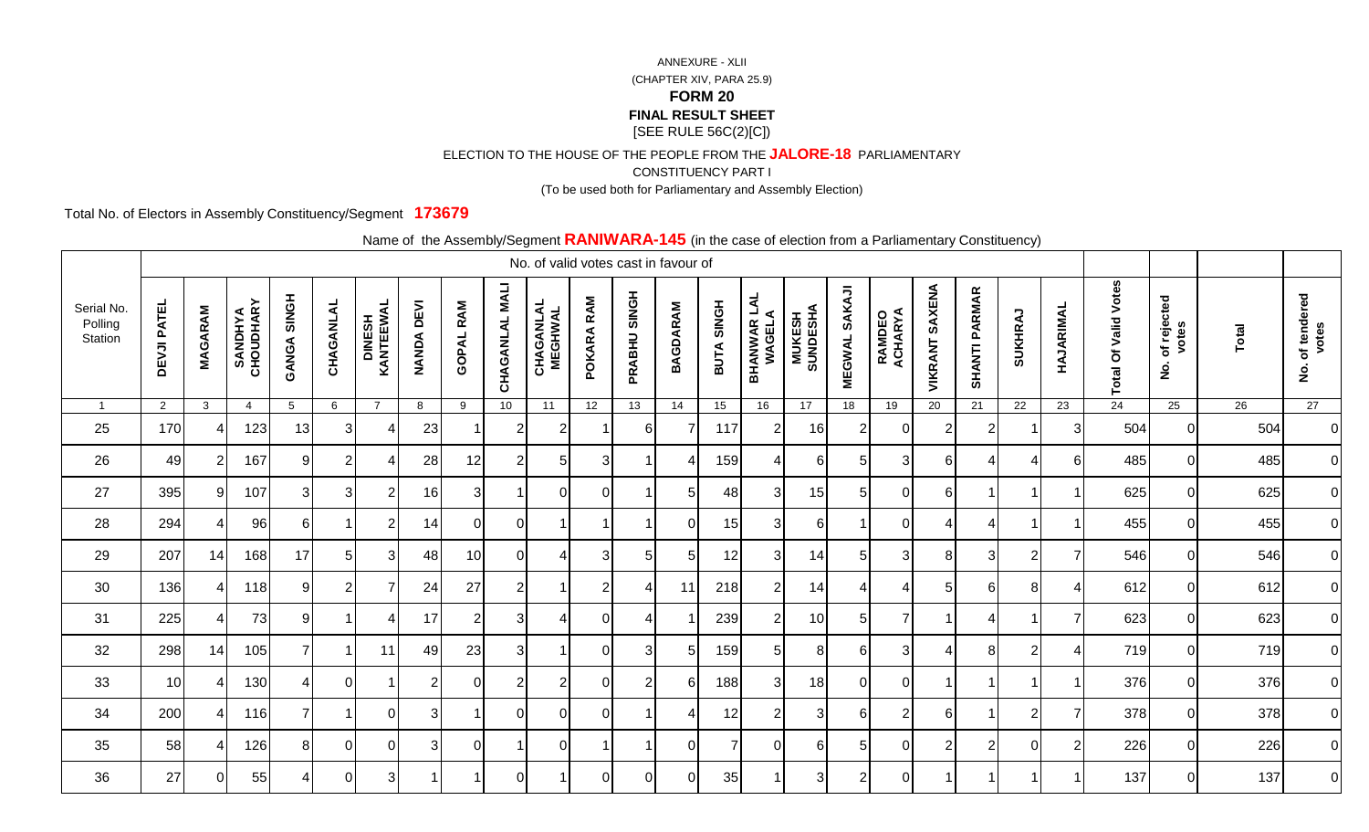ELECTION TO THE HOUSE OF THE PEOPLE FROM THE **JALORE-18** PARLIAMENTARY

CONSTITUENCY PART I

(To be used both for Parliamentary and Assembly Election)

Total No. of Electors in Assembly Constituency/Segment **173679**

|                                  |                    |                |                             |                    |           |                             |                   |                  |                |                             | No. of valid votes cast in favour of |              |                 |                |                               |                    |                         |                   |                          |                      |                          |                |                             |                                            |       |                                            |
|----------------------------------|--------------------|----------------|-----------------------------|--------------------|-----------|-----------------------------|-------------------|------------------|----------------|-----------------------------|--------------------------------------|--------------|-----------------|----------------|-------------------------------|--------------------|-------------------------|-------------------|--------------------------|----------------------|--------------------------|----------------|-----------------------------|--------------------------------------------|-------|--------------------------------------------|
| Serial No.<br>Polling<br>Station | <b>DEVJI PATEL</b> | <b>MAGARAM</b> | <b>SANDHYA</b><br>CHOUDHARY | <b>GANGA SINGH</b> | CHAGANLAL | <b>DINESH<br/>KANTEEWAL</b> | <b>NANDA DEVI</b> | <b>GOPAL RAM</b> | CHAGANLAL MALI | <b>CHAGANLAL</b><br>MEGHWAL | RAM<br>POKARA                        | PRABHU SINGH | <b>BAGDARAM</b> | BUTA SINGH     | <b>BHANWAR LAL<br/>WAGELA</b> | MUKESH<br>SUNDESHA | SAKAJI<br><b>MEGWAL</b> | RAMDEO<br>ACHARYA | <b>VIKRANT SAXENA</b>    | <b>SHANTI PARMAR</b> | <b>SUKHRAJ</b>           | HAJARIMAL      | <b>Total Of Valid Votes</b> | of rejected<br>votes<br>$\dot{\mathbf{2}}$ | Total | of tendered<br>votes<br>$\dot{\mathbf{g}}$ |
| $\overline{1}$                   | $2^{\circ}$        | $\mathbf{3}$   | $\overline{4}$              | 5                  | 6         | $\overline{7}$              | 8                 | 9                | 10             | 11                          | 12                                   | 13           | $\overline{14}$ | 15             | 16                            | 17                 | 18                      | 19                | $\overline{20}$          | 21                   | $\overline{22}$          | 23             | 24                          | 25                                         | 26    | 27                                         |
| 25                               | 170                |                | 123                         | 13                 | 3         |                             | 23                |                  | $\overline{2}$ | $\overline{2}$              |                                      | 6            |                 | 117            | $\overline{2}$                | 16                 | $\overline{2}$          | $\Omega$          | $\overline{2}$           | $\overline{2}$       |                          | 3              | 504                         | ΟI                                         | 504   | $\overline{0}$                             |
| 26                               | 49                 |                | 167                         | 9                  |           | 4                           | 28                | 12               | $\overline{2}$ | 51                          | 3                                    |              |                 | 159            | Δ                             | 6                  | 5                       | 3                 | 6                        | Δ                    | $\boldsymbol{\varDelta}$ | 6              | 485                         | ΟI                                         | 485   | $\overline{0}$                             |
| 27                               | 395                | 9              | 107                         | 3                  | 3         | $\overline{2}$              | 16                | 3 <sup>1</sup>   |                | $\overline{0}$              | 0                                    |              | 5 <sub>l</sub>  | 48             | 3                             | 15                 | 5 <sub>l</sub>          | 0                 | 6                        |                      |                          |                | 625                         | 0                                          | 625   | $\overline{0}$                             |
| 28                               | 294                |                | 96                          | 6 <sup>1</sup>     |           | $\overline{2}$              | 14                | $\overline{0}$   | $\overline{0}$ | -1                          |                                      |              | $\Omega$        | 15             | 3                             | 6                  |                         | $\Omega$          | $\boldsymbol{\varDelta}$ | 4                    |                          |                | 455                         | $\overline{0}$                             | 455   | $\overline{0}$                             |
| 29                               | 207                | 14             | 168                         | 17                 |           | $\overline{3}$              | 48                | 10               | $\Omega$       | 4                           | 3                                    | 5            | 5               | 12             | 3                             | 14                 | 5 <sup>1</sup>          | 3                 | -8                       | 3                    | $\overline{2}$           |                | 546                         | ΟI                                         | 546   | $\overline{0}$                             |
| 30                               | 136                | 4              | 118                         | 9                  | 2         |                             | 24                | 27               | $\overline{2}$ | -1                          | 2                                    | 4            | 11              | 218            | $\overline{2}$                | 14                 | Δ                       | 4                 | 5                        | 6                    | 8                        | Δ              | 612                         | $\overline{0}$                             | 612   | $\overline{0}$                             |
| 31                               | 225                |                | 73                          | 9                  |           | 4                           | 17                | $\overline{2}$   | $\mathbf{3}$   | $\Delta$                    | $\Omega$                             |              |                 | 239            | $\overline{2}$                | 10 <sup>1</sup>    | 5                       | $\overline{7}$    |                          | 4                    |                          | $\overline{7}$ | 623                         | $\overline{0}$                             | 623   | $\overline{0}$                             |
| 32                               | 298                | 14             | 105                         |                    |           | 11                          | 49                | 23               | 3 <sup>l</sup> |                             | O                                    | 3            |                 | 159            | 5                             | 8                  | 6                       | 3                 |                          | 8                    | $\overline{2}$           |                | 719                         | $\overline{0}$                             | 719   | $\overline{0}$                             |
| 33                               | 10                 |                | 130                         | $\overline{4}$     |           |                             | $\overline{2}$    | $\overline{0}$   | $\overline{2}$ | 2 <sub>1</sub>              | 0                                    | 2            | 61              | 188            | 3 <sup>l</sup>                | 18                 | <sup>O</sup>            | $\mathbf 0$       |                          |                      |                          |                | 376                         | $\overline{0}$                             | 376   | $\overline{0}$                             |
| 34                               | 200                | Δ              | 116                         | 71                 |           | $\Omega$                    | 3                 |                  | $\Omega$       | $\Omega$                    | $\Omega$                             |              | 4               | 12             | $\overline{2}$                | 3 <sup>l</sup>     | 6                       | $\overline{2}$    | 6                        |                      | $\overline{2}$           | $\overline{7}$ | 378                         | $\overline{0}$                             | 378   | $\overline{0}$                             |
| 35                               | 58                 |                | 126                         | 8 <sup>1</sup>     | ∩         | $\Omega$                    | 3 <sup>l</sup>    | $\overline{0}$   |                | $\Omega$                    |                                      |              | $\Omega$        | $\overline{7}$ | $\Omega$                      | 6                  | 5 <sup>1</sup>          | $\Omega$          | 2                        | $\overline{2}$       | $\Omega$                 | 2              | 226                         | $\overline{0}$                             | 226   | $\overline{0}$                             |
| 36                               | 27                 |                | 55                          | 4                  |           | $\overline{3}$              |                   |                  | $\Omega$       |                             | $\Omega$                             | $\Omega$     | $\Omega$        | 35             |                               | 3 <sup>l</sup>     | $\overline{2}$          | 0                 |                          |                      |                          |                | 137                         | ΩI                                         | 137   | $\overline{0}$                             |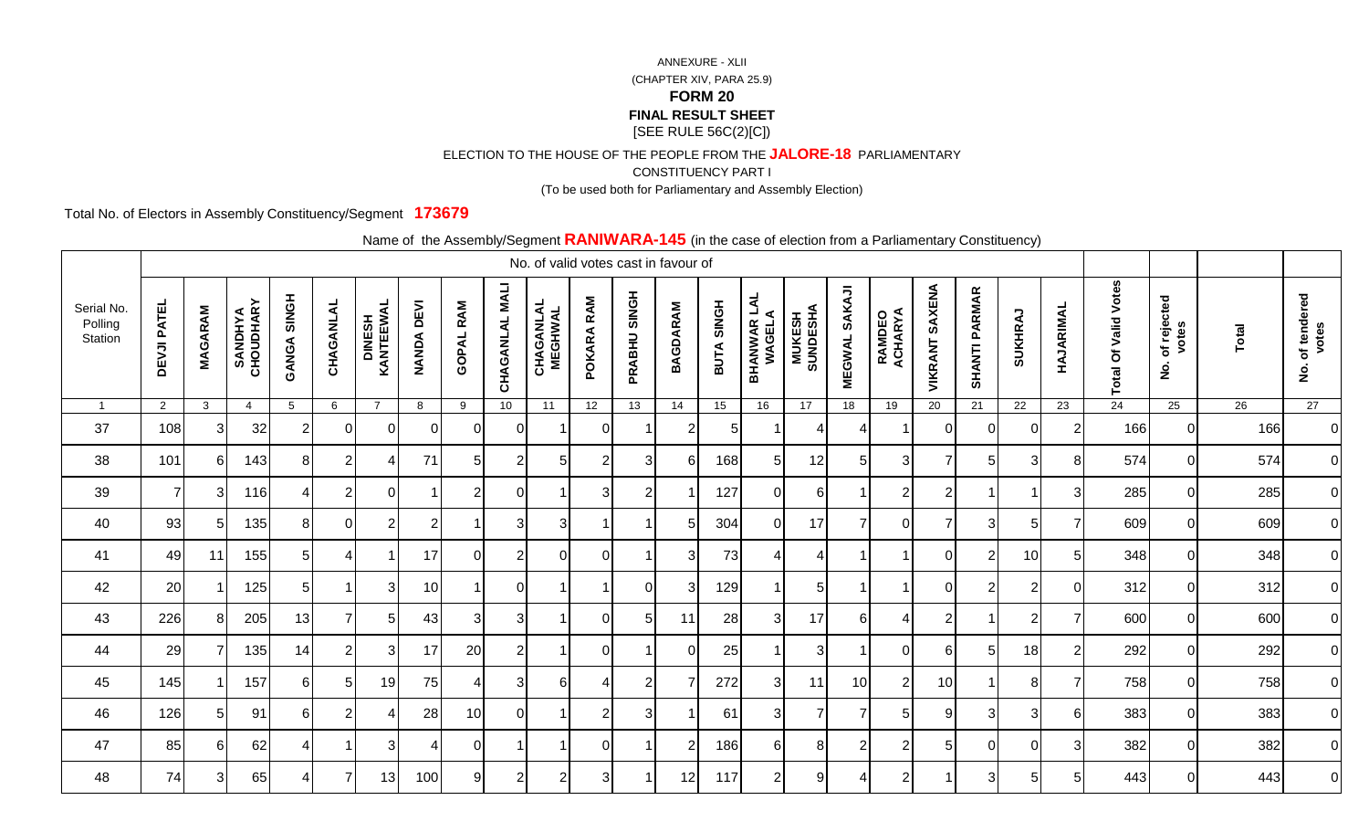ELECTION TO THE HOUSE OF THE PEOPLE FROM THE **JALORE-18** PARLIAMENTARY

CONSTITUENCY PART I

(To be used both for Parliamentary and Assembly Election)

Total No. of Electors in Assembly Constituency/Segment **173679**

|                                  |                    |                |                             |                    |                |                     |                             | $\frac{1}{2}$    |                 | No. of valid votes cast in favour of |                |                |                 |            |                               |                            |                         | $\sim$ case of sistem from a framamental $\sim$ sensitivency, |                   |                      |                      |                |                             |                                            |                 |                                            |
|----------------------------------|--------------------|----------------|-----------------------------|--------------------|----------------|---------------------|-----------------------------|------------------|-----------------|--------------------------------------|----------------|----------------|-----------------|------------|-------------------------------|----------------------------|-------------------------|---------------------------------------------------------------|-------------------|----------------------|----------------------|----------------|-----------------------------|--------------------------------------------|-----------------|--------------------------------------------|
| Serial No.<br>Polling<br>Station | <b>DEVJI PATEL</b> | <b>MAGARAM</b> | <b>SANDHYA</b><br>CHOUDHARY | <b>GANGA SINGH</b> | CHAGANLAL      | DINESH<br>KANTEEWAL | <b>DEVI</b><br><b>NANDA</b> | <b>GOPAL RAM</b> | CHAGANLAL MALI  | <b>CHAGANLAL</b><br>MEGHWAL          | POKARA RAM     | PRABHU SINGH   | <b>BAGDARAM</b> | BUTA SINGH | <b>BHANWAR LAL<br/>WAGELA</b> | <b>MUKESH<br/>SUNDESHA</b> | SAKAJI<br><b>MEGWAL</b> | <b>RAMDEO<br/>ACHARYA</b>                                     | SAXENA<br>VIKRANT | <b>SHANTI PARMAR</b> | <b>SUKHRAJ</b>       | HAJARIMAL      | <b>Total Of Valid Votes</b> | of rejected<br>votes<br>$\dot{\mathbf{2}}$ | <b>Total</b>    | of tendered<br>votes<br>$\dot{\mathbf{g}}$ |
| $\overline{1}$                   | $\overline{2}$     | $\mathbf{3}$   | $\overline{4}$              | $5\phantom{.0}$    | 6              | $\overline{7}$      | 8                           | 9                | 10 <sub>1</sub> | 11                                   | 12             | 13             | 14              | 15         | 16                            | 17                         | 18                      | 19                                                            | 20                | 21                   | 22                   | 23             | 24                          | 25                                         | $\overline{26}$ | 27                                         |
| 37                               | 108                | 31             | 32                          | 2                  | $\Omega$       | $\Omega$            | $\Omega$                    | $\Omega$         | $\Omega$        |                                      | $\Omega$       |                | 2               | 5          |                               |                            | 4                       | -1                                                            | $\Omega$          | 0                    | $\Omega$             | $\overline{2}$ | 166                         |                                            | 166             | $\overline{0}$                             |
| 38                               | 101                | 61             | 143                         | 8 <sup>1</sup>     | 2              | ⊿                   | 71                          | 5 <sub>l</sub>   | $\overline{2}$  | 5                                    | $\overline{2}$ | 3              | -6              | 168        | 5                             | 12                         | $\overline{5}$          | $\mathbf{3}$                                                  | 7                 | 5 <sub>5</sub>       | $\sqrt{3}$           | 8              | 574                         | $\Omega$                                   | 574             | $\overline{0}$                             |
| 39                               | $\overline{7}$     | 31             | 116                         | $\overline{4}$     | $\overline{2}$ | $\overline{0}$      |                             | $\overline{2}$   | $\overline{0}$  | -1                                   | $\mathbf{3}$   | $\overline{2}$ |                 | 127        | $\mathbf 0$                   | $6 \mid$                   | $\mathbf{1}$            | $\mathbf{2}$                                                  | $\overline{2}$    | $\overline{1}$       | $\blacktriangleleft$ | 3              | 285                         | $\Omega$                                   | 285             | $\overline{0}$                             |
| 40                               | 93                 | 51             | 135                         | 8 <sup>1</sup>     | $\Omega$       | $\overline{2}$      | $\overline{2}$              |                  | 3               | 3                                    |                |                |                 | 304        | $\Omega$                      | 17                         | $\overline{7}$          | $\overline{0}$                                                | $\overline{7}$    | $\mathbf{3}$         | 5                    | $\overline{7}$ | 609                         | $\Omega$                                   | 609             | $\overline{0}$                             |
| 41                               | 49                 | 11             | 155                         | 51                 |                |                     | 17                          | $\Omega$         | $\overline{2}$  | $\Omega$                             | $\Omega$       |                | 3               | 73         | 4                             | 4                          |                         | -1                                                            | 0                 | $\overline{2}$       | 10                   | 5              | 348                         | $\Omega$                                   | 348             | $\overline{0}$                             |
| 42                               | 20                 |                | 125                         | 5 <sup>1</sup>     |                | $\mathbf{3}$        | 10                          | -1               | $\Omega$        |                                      |                | $\Omega$       | 3               | 129        |                               | 5 <sup>5</sup>             | $\overline{1}$          | $\overline{1}$                                                | $\Omega$          | $\overline{2}$       | $\overline{2}$       | $\Omega$       | 312                         | $\overline{0}$                             | 312             | $\overline{0}$                             |
| 43                               | 226                | 81             | 205                         | 13                 |                | $5 \mid$            | 43                          | 3                | 3               |                                      | $\Omega$       | 5              | 11              | 28         | 3                             | 17                         | 61                      | 4                                                             | $\overline{2}$    | $\overline{1}$       | $\overline{2}$       | 7              | 600                         | $\Omega$                                   | 600             | $\overline{0}$                             |
| 44                               | 29                 |                | 135                         | 14                 | 2              | 3                   | 17                          | 20               | 2               |                                      | $\Omega$       |                | $\Omega$        | 25         |                               | 3                          |                         | $\Omega$                                                      | 6                 | 5 <sub>l</sub>       | 18                   | $\overline{2}$ | 292                         | $\Omega$                                   | 292             | $\overline{0}$                             |
| 45                               | 145                |                | 157                         | $6 \mid$           | 5              | 19                  | 75                          | 4                | $\mathbf{3}$    | 6                                    | 4              | $\overline{2}$ |                 | 272        | 3                             | 11                         | 10 <sup>1</sup>         | $\mathbf{2}$                                                  | 10                | $\overline{1}$       | 8                    | 7              | 758                         | $\overline{0}$                             | 758             | $\overline{0}$                             |
| 46                               | 126                | 5 <sub>l</sub> | 91                          | 6                  | 2              | 4                   | 28                          | 10               | $\Omega$        |                                      | 2              | 3              |                 | 61         | 3                             | $\overline{7}$             | $\overline{7}$          | 5                                                             | 9                 | 3                    | 3                    | 6              | 383                         | $\Omega$                                   | 383             | $\overline{0}$                             |
| 47                               | 85                 | 61             | 62                          | 4                  |                | 3                   |                             | $\Omega$         |                 |                                      | $\Omega$       |                | 2               | 186        | 6                             | 8                          | $\overline{2}$          | 2                                                             | 5                 | $\overline{0}$       | $\mathbf{0}$         | 3              | 382                         | $\Omega$                                   | 382             | $\overline{O}$                             |
| 48                               | 74                 | 31             | 65                          | 4                  |                | 13                  | 100                         | 9                | $\mathfrak{p}$  | $\overline{c}$                       | 3              |                | 12              | 117        | $\overline{2}$                | 9                          | 4                       | 2                                                             |                   | 3                    | 5                    | 5              | 443                         | $\Omega$                                   | 443             | $\overline{0}$                             |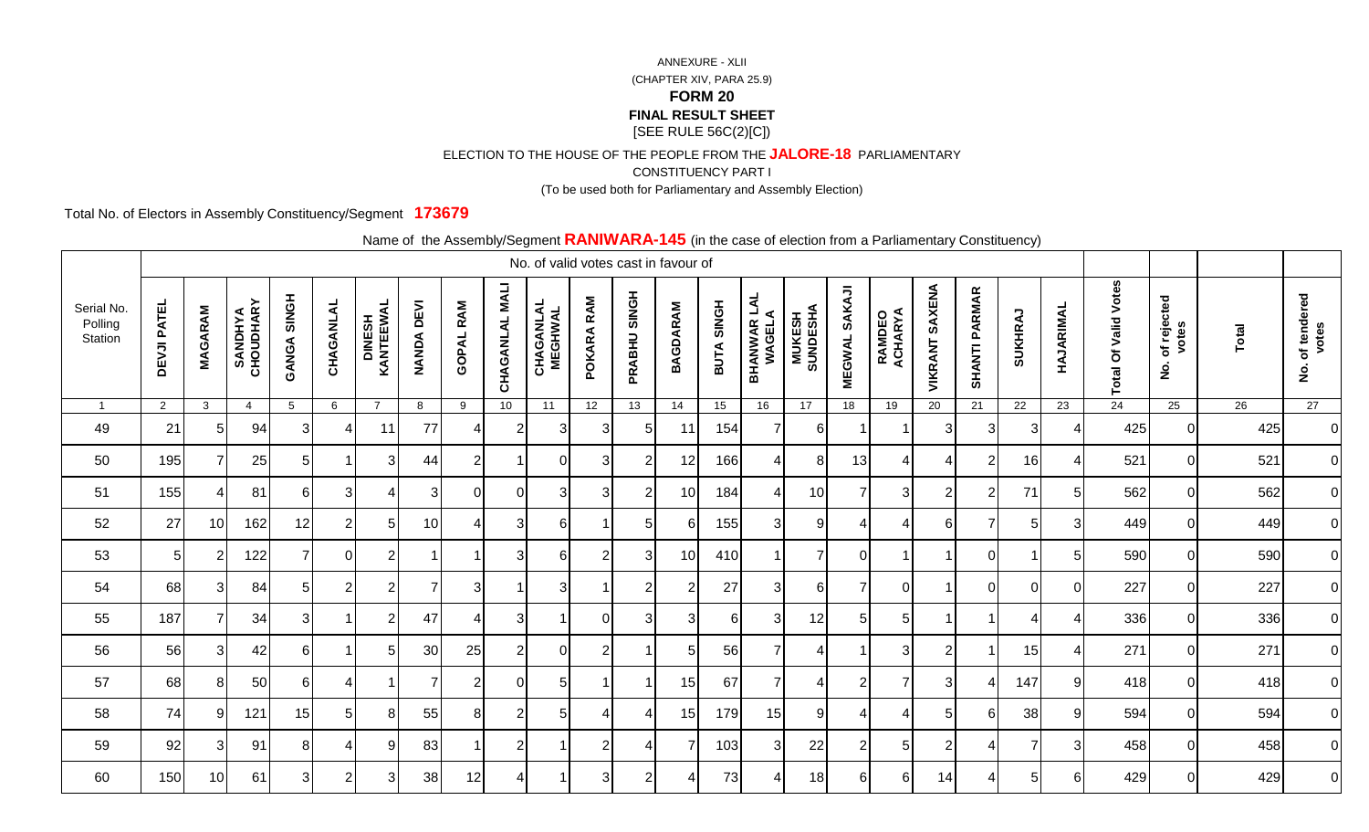ELECTION TO THE HOUSE OF THE PEOPLE FROM THE **JALORE-18** PARLIAMENTARY

CONSTITUENCY PART I

(To be used both for Parliamentary and Assembly Election)

Total No. of Electors in Assembly Constituency/Segment **173679**

|                                  |                    |                |                             |                    |                |                     |                             | $\frac{1}{2}$    |                 | No. of valid votes cast in favour of |              |                |                 |            |                               |                            |                         | $\sim$ case of orogan from a fundamentary concentration of $\sim$ |                   |                      |                |                |                             |                                            |                 |                                            |
|----------------------------------|--------------------|----------------|-----------------------------|--------------------|----------------|---------------------|-----------------------------|------------------|-----------------|--------------------------------------|--------------|----------------|-----------------|------------|-------------------------------|----------------------------|-------------------------|-------------------------------------------------------------------|-------------------|----------------------|----------------|----------------|-----------------------------|--------------------------------------------|-----------------|--------------------------------------------|
| Serial No.<br>Polling<br>Station | <b>DEVJI PATEL</b> | <b>MAGARAM</b> | <b>SANDHYA</b><br>CHOUDHARY | <b>GANGA SINGH</b> | CHAGANLAL      | DINESH<br>KANTEEWAL | <b>DEVI</b><br><b>NANDA</b> | <b>GOPAL RAM</b> | CHAGANLAL MALI  | <b>CHAGANLAL</b><br>MEGHWAL          | POKARA RAM   | PRABHU SINGH   | <b>BAGDARAM</b> | BUTA SINGH | <b>BHANWAR LAL<br/>WAGELA</b> | <b>MUKESH<br/>SUNDESHA</b> | SAKAJI<br><b>MEGWAL</b> | <b>RAMDEO<br/>ACHARYA</b>                                         | SAXENA<br>VIKRANT | <b>SHANTI PARMAR</b> | <b>SUKHRAJ</b> | HAJARIMAL      | <b>Total Of Valid Votes</b> | of rejected<br>votes<br>$\dot{\mathbf{2}}$ | <b>Total</b>    | of tendered<br>votes<br>$\dot{\mathbf{g}}$ |
| $\overline{1}$                   | $\overline{2}$     | $\mathbf{3}$   | $\overline{4}$              | $5\phantom{.0}$    | 6              | $\overline{7}$      | 8                           | 9                | 10 <sup>1</sup> | 11                                   | 12           | 13             | 14              | 15         | 16                            | 17                         | 18                      | 19                                                                | 20                | 21                   | 22             | 23             | 24                          | 25                                         | $\overline{26}$ | 27                                         |
| 49                               | 21                 | 51             | 94                          | 31                 |                | 11                  | 77                          |                  | 2               | 3                                    | 3            | 5              | 11              | 154        |                               | 6                          |                         |                                                                   | 3                 | $\mathbf{3}$         | 3              | Δ              | 425                         |                                            | 425             | $\overline{0}$                             |
| 50                               | 195                |                | 25                          | 5 <sub>l</sub>     |                | 3                   | 44                          | $\overline{2}$   |                 | $\Omega$                             | 3            | $\overline{2}$ | 12              | 166        | 4                             | 8 <sup>1</sup>             | 13                      | 4                                                                 | 4                 | $\mathbf{2}$         | 16             | 4              | 521                         | $\Omega$                                   | 521             | $\overline{0}$                             |
| 51                               | 155                | 4              | 81                          | $6 \mid$           | $\mathbf{3}$   | $\overline{4}$      | $\overline{3}$              | $\overline{0}$   | $\overline{0}$  | 3                                    | $\mathbf{3}$ | $\overline{2}$ | 10              | 184        | 4                             | 10                         | $\overline{7}$          | 3 <sub>l</sub>                                                    | $\overline{2}$    | $\mathbf{2}$         | 71             | $\overline{5}$ | 562                         | $\Omega$                                   | 562             | $\overline{0}$                             |
| 52                               | 27                 | 10             | 162                         | 12                 | $\overline{2}$ | 5                   | 10                          | Δ                | 3 <sup>l</sup>  | 6                                    |              | 5              | 6               | 155        | 3                             | 9                          | 4                       | $\overline{4}$                                                    | 6                 | $\overline{7}$       | 5              | 3              | 449                         | $\Omega$                                   | 449             | $\overline{0}$                             |
| 53                               | 5 <sub>l</sub>     | $\overline{2}$ | 122                         | $\overline{7}$     | $\Omega$       | $\overline{2}$      |                             |                  | 3               | 6                                    | 2            | 3              | 10              | 410        |                               | $\overline{7}$             | $\overline{0}$          | -1                                                                | -1                | $\overline{0}$       |                | 5              | 590                         | $\Omega$                                   | 590             | $\overline{0}$                             |
| 54                               | 68                 | 31             | 84                          | 51                 | 2              | $\overline{2}$      | 7                           | 3 <sup>1</sup>   | -1              | 3                                    |              | $\overline{2}$ | 2               | 27         | 3                             | 6                          | $\overline{7}$          | $\Omega$                                                          | -1                | $\overline{0}$       | $\Omega$       | $\mathbf 0$    | 227                         | $\Omega$                                   | 227             | $\overline{0}$                             |
| 55                               | 187                |                | 34                          | 31                 |                | $\overline{2}$      | 47                          | Δ                | 31              |                                      | $\Omega$     | 3              | 3               | 6          | 3                             | 12                         | 5 <sub>l</sub>          | 5                                                                 | -1                | $\overline{1}$       | Δ              |                | 336                         | $\Omega$                                   | 336             | $\overline{0}$                             |
| 56                               | 56                 | 31             | 42                          | 6                  |                | 5                   | 30                          | 25               | 2               | $\Omega$                             | 2            |                | .5              | 56         | 7                             | $\boldsymbol{\Delta}$      |                         | 3                                                                 | $\overline{2}$    | -1                   | 15             | Δ              | 271                         | $\Omega$                                   | 271             | $\overline{0}$                             |
| 57                               | 68                 | 8 <sup>1</sup> | 50                          | $6 \mid$           | 4              |                     |                             | $\overline{2}$   | $\overline{0}$  | 5 <sub>l</sub>                       | -1           |                | 15              | 67         | 7                             | $\overline{4}$             | $\mathbf{2}$            | 7                                                                 | 3                 | $\overline{4}$       | 147            | 9              | 418                         | $\Omega$                                   | 418             | $\overline{0}$                             |
| 58                               | 74                 | 9              | 121                         | 15                 | 5              | 8 <sup>1</sup>      | 55                          | 8 <sup>1</sup>   | $\overline{2}$  | 5 <sup>1</sup>                       | 4            | Δ              | 15              | 179        | 15                            | 9                          | $\overline{4}$          | 4                                                                 | 5                 | $6 \mid$             | 38             | 9              | 594                         | $\Omega$                                   | 594             | $\overline{0}$                             |
| 59                               | 92                 | 3I             | 91                          | 8 <sup>1</sup>     |                | 9                   | 83                          |                  | $\overline{2}$  |                                      | 2            | 4              |                 | 103        | 3                             | 22                         | $\overline{2}$          | $\overline{5}$                                                    | $\overline{2}$    | 4                    | $\overline{7}$ | 3              | 458                         | $\Omega$                                   | 458             | $\overline{O}$                             |
| 60                               | 150                | 10             | 61                          | 31                 | 2              | 3                   | 38                          | 12               |                 |                                      | 3            | 2              |                 | 73         | 4                             | 18                         | 61                      | $6 \mid$                                                          | 14                | 4                    | 5              | 6              | 429                         | $\Omega$                                   | 429             | $\overline{0}$                             |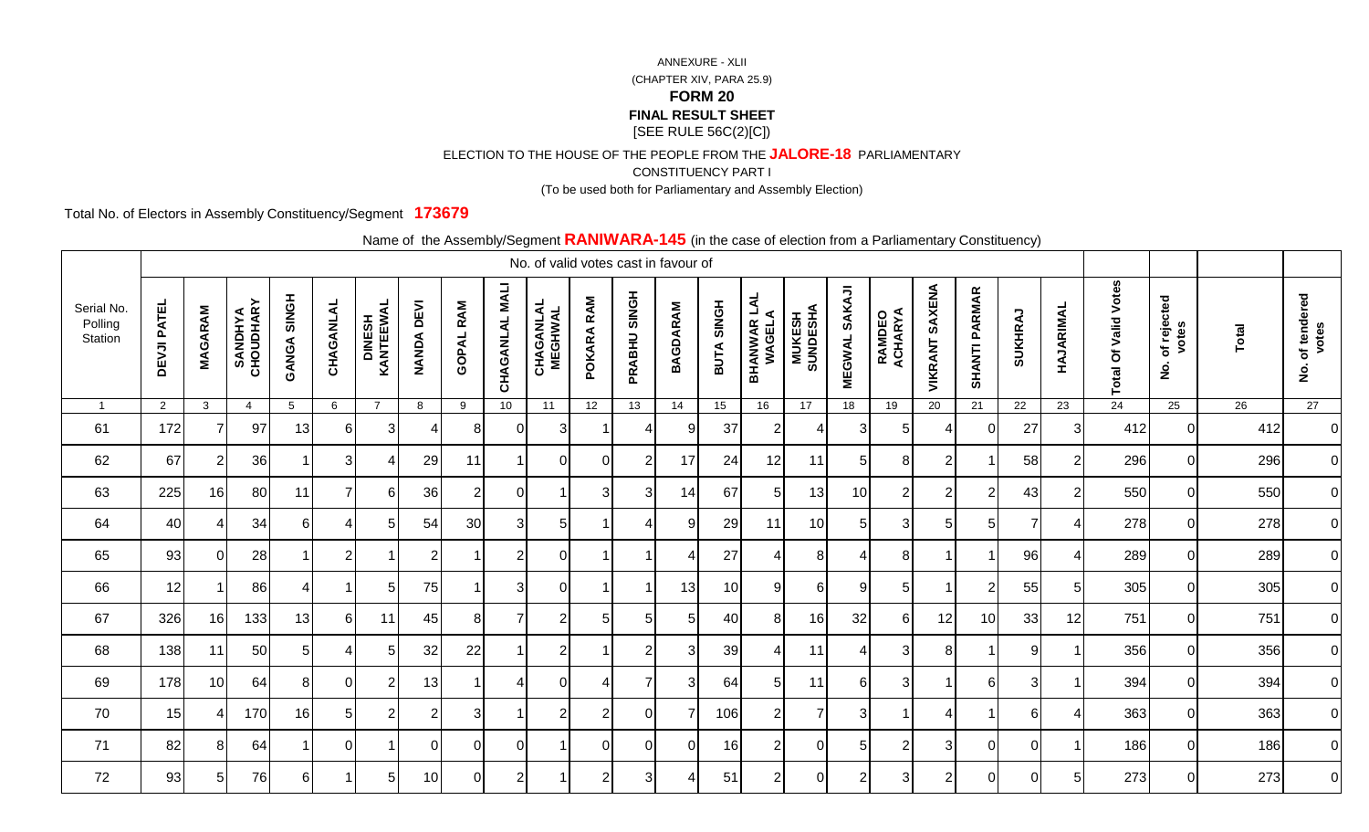ELECTION TO THE HOUSE OF THE PEOPLE FROM THE **JALORE-18** PARLIAMENTARY

CONSTITUENCY PART I

(To be used both for Parliamentary and Assembly Election)

Total No. of Electors in Assembly Constituency/Segment **173679**

|                                  |                    |                |                             |                    |                |                             |                   |                  |                 | No. of valid votes cast in favour of |                |                |                 |            |                       |                            |                      |                   |                       |                      |                |                |                             |                                            |       |                                            |
|----------------------------------|--------------------|----------------|-----------------------------|--------------------|----------------|-----------------------------|-------------------|------------------|-----------------|--------------------------------------|----------------|----------------|-----------------|------------|-----------------------|----------------------------|----------------------|-------------------|-----------------------|----------------------|----------------|----------------|-----------------------------|--------------------------------------------|-------|--------------------------------------------|
| Serial No.<br>Polling<br>Station | <b>DEVJI PATEL</b> | <b>MAGARAM</b> | <b>SANDHYA</b><br>CHOUDHARY | <b>GANGA SINGH</b> | CHAGANLAL      | <b>DINESH<br/>KANTEEWAL</b> | <b>NANDA DEVI</b> | <b>GOPAL RAM</b> | CHAGANLAL MALI  | <b>CHAGANLAL</b><br>MEGHWAL          | RAM<br>POKARA  | PRABHU SINGH   | <b>BAGDARAM</b> | BUTA SINGH | BHANWAR LAL<br>WAGELA | <b>MUKESH<br/>SUNDESHA</b> | <b>MEGWAL SAKAJI</b> | RAMDEO<br>ACHARYA | <b>VIKRANT SAXENA</b> | <b>SHANTI PARMAR</b> | SUKHRAJ        | HAJARIMAL      | <b>Total Of Valid Votes</b> | of rejected<br>votes<br>$\dot{\mathsf{z}}$ | Total | of tendered<br>votes<br>$\dot{\mathbf{g}}$ |
| $\overline{1}$                   | $2^{\circ}$        | $\mathbf{3}$   | $\overline{4}$              | 5                  | 6              | $\overline{7}$              | 8                 | 9                | 10 <sup>1</sup> | 11                                   | 12             | 13             | 14              | 15         | 16                    | 17                         | 18                   | 19                | 20                    | 21                   | 22             | 23             | 24                          | 25                                         | 26    | 27                                         |
| 61                               | 172                |                | 97                          | 13                 | 61             | 31                          |                   | 8                | $\Omega$        | 3                                    |                |                | 9               | 37         | $\overline{2}$        |                            | 3                    | 5                 | 4                     | $\mathbf 0$          | 27             | 3              | 412                         | $\Omega$                                   | 412   | $\overline{0}$                             |
| 62                               | 67                 | 2              | 36                          |                    | 3              | 4                           | 29                | 11               |                 | $\Omega$                             | $\Omega$       | 2              | 17              | 24         | 12                    | 11                         | 5                    | 8                 | $\overline{2}$        |                      | 58             | $\overline{2}$ | 296                         | $\Omega$                                   | 296   | 0                                          |
| 63                               | 225                | 16             | 80                          | 11                 |                | 6                           | 36                | $2\vert$         | $\overline{0}$  | -1                                   | 3              | 3              | 14              | 67         | $\sqrt{5}$            | 13                         | 10                   | $\overline{2}$    | $\overline{2}$        | $\overline{2}$       | 43             | $\overline{2}$ | 550                         | <sup>0</sup>                               | 550   | $\overline{0}$                             |
| 64                               | 40                 | Δ              | 34                          | 6                  | 4              | 5 <sup>1</sup>              | 54                | 30 <sup>1</sup>  | $\mathbf{3}$    | $5\phantom{.0}$                      |                |                | 9               | 29         | 11                    | 10                         | $\sqrt{5}$           | $\sqrt{3}$        | 5                     | 5 <sub>5</sub>       | $\overline{7}$ | 4              | 278                         | $\overline{0}$                             | 278   | 0                                          |
| 65                               | 93                 | O              | 28                          |                    | $\overline{2}$ |                             |                   |                  | $\overline{2}$  | $\overline{0}$                       |                |                | Δ               | 27         | ⊿                     | 8                          | 4                    | 8                 | -1                    |                      | 96             | Δ              | 289                         | 0                                          | 289   | $\overline{0}$                             |
| 66                               | 12                 |                | 86                          | $\overline{4}$     |                | 51                          | 75                | -1               | 3               | $\overline{0}$                       |                |                | 13              | 10         | 9                     | 6                          | 9                    | $\overline{5}$    | -1                    | $\overline{2}$       | 55             | 5              | 305                         | $\mathbf 0$                                | 305   | $\overline{0}$                             |
| 67                               | 326                | 16             | 133                         | 13                 | $6 \mid$       | 11                          | 45                | 81               | $\overline{7}$  | $\overline{2}$                       | 5              | 5              | 5               | 40         | 8                     | 16                         | 32                   | $6 \overline{6}$  | 12                    | 10 <sub>1</sub>      | 33             | 12             | 751                         | $\Omega$                                   | 751   | 0                                          |
| 68                               | 138                | 11             | 50                          | 51                 |                | 51                          | 32                | 22               |                 | $\overline{2}$                       |                | $\mathcal{P}$  | 3               | 39         |                       | 11                         | 4                    | 3                 | 8                     |                      | 9              |                | 356                         | $\Omega$                                   | 356   | 0                                          |
| 69                               | 178                | 10             | 64                          | 8 <sup>1</sup>     | $\Omega$       | 2 <sub>l</sub>              | 13                | -1               | 4               | $\overline{0}$                       | 4              | $\overline{7}$ | 3               | 64         | 5                     | 11                         | $6 \mid$             | $\sqrt{3}$        | -1                    | $6 \overline{6}$     | 3              |                | 394                         | $\Omega$                                   | 394   | $\overline{0}$                             |
| 70                               | 15                 | Δ              | 170                         | 16                 | 5 <sub>l</sub> | 2 <sup>1</sup>              | $\overline{2}$    | 3                |                 | $\overline{2}$                       | $\overline{2}$ | $\mathbf{0}$   | 7               | 106        | $\overline{2}$        | $\overline{7}$             | 3 <sup>l</sup>       | $\overline{1}$    | $\overline{4}$        | $\overline{1}$       | 6              | Δ              | 363                         | $\Omega$                                   | 363   | $\overline{0}$                             |
| 71                               | 82                 | 8              | 64                          |                    | $\Omega$       |                             | ΩI                | $\overline{0}$   | $\Omega$        |                                      | $\Omega$       | $\Omega$       | $\Omega$        | 16         | $\overline{2}$        | $\Omega$                   | 5                    | $\overline{2}$    | 3                     | $\mathbf 0$          | 0              |                | 186                         | $\Omega$                                   | 186   | $\overline{0}$                             |
| 72                               | 93                 | 51             | 76                          | 61                 |                | 51                          | 10                | $\overline{0}$   | 2               |                                      | $\overline{2}$ | 3              |                 | 51         | $\overline{2}$        | $\Omega$                   | $\overline{2}$       | 3                 | $\overline{2}$        | $\overline{0}$       | 0              | 5              | 273                         | $\Omega$                                   | 273   | 0                                          |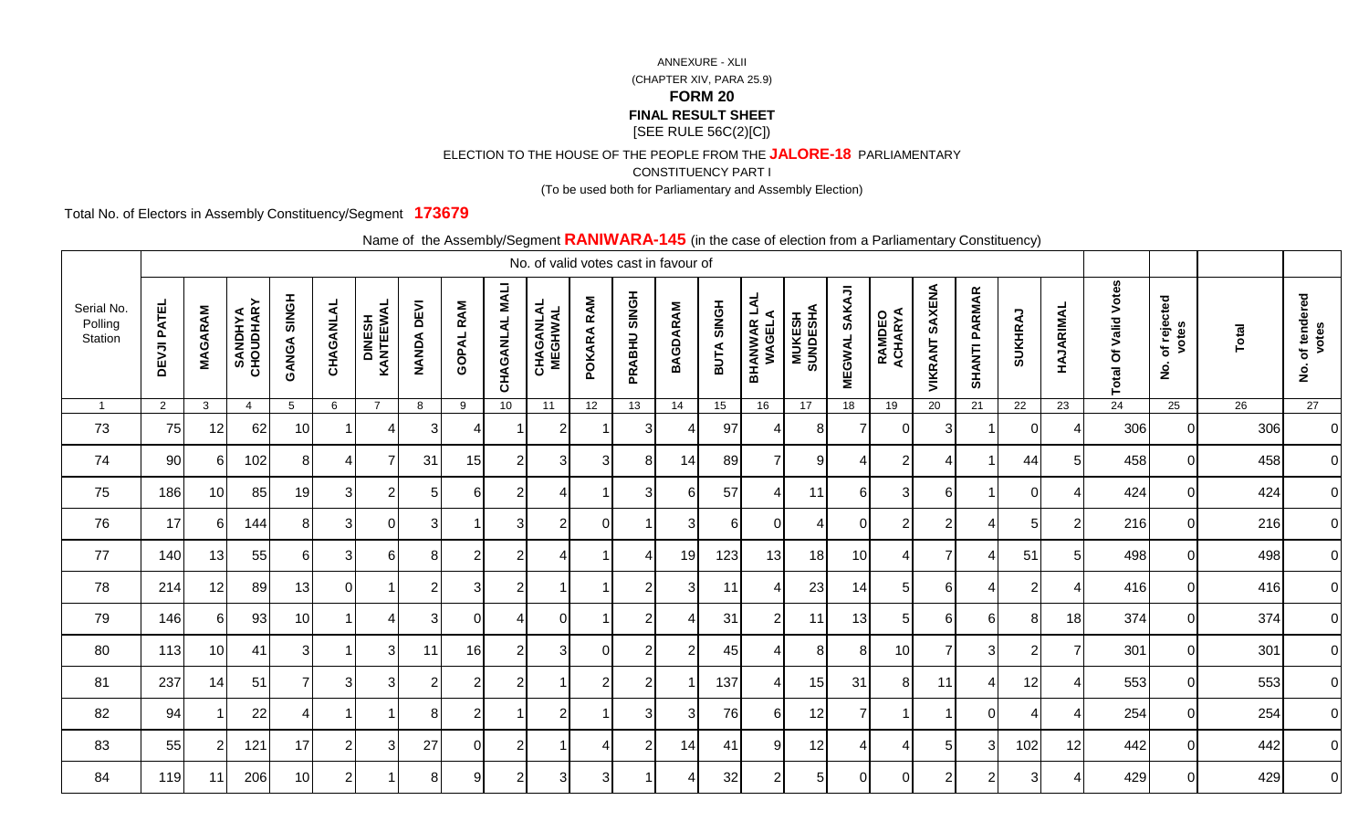ELECTION TO THE HOUSE OF THE PEOPLE FROM THE **JALORE-18** PARLIAMENTARY

CONSTITUENCY PART I

(To be used both for Parliamentary and Assembly Election)

Total No. of Electors in Assembly Constituency/Segment **173679**

|                                  |                    |                 |                             |                    |              |                     |                             | $\frac{1}{2}$    |                 | No. of valid votes cast in favour of |                |                |                 |            |                               |                            |                         | $\sim$ case of sistem from a framamental $\sim$ sensitivency, |                          |                      |                |                          |                             |                                            |                 |                                            |
|----------------------------------|--------------------|-----------------|-----------------------------|--------------------|--------------|---------------------|-----------------------------|------------------|-----------------|--------------------------------------|----------------|----------------|-----------------|------------|-------------------------------|----------------------------|-------------------------|---------------------------------------------------------------|--------------------------|----------------------|----------------|--------------------------|-----------------------------|--------------------------------------------|-----------------|--------------------------------------------|
| Serial No.<br>Polling<br>Station | <b>DEVJI PATEL</b> | <b>MAGARAM</b>  | <b>SANDHYA</b><br>CHOUDHARY | <b>GANGA SINGH</b> | CHAGANLAL    | DINESH<br>KANTEEWAL | <b>DEVI</b><br><b>NANDA</b> | <b>GOPAL RAM</b> | CHAGANLAL MALI  | <b>CHAGANLAL</b><br>MEGHWAL          | POKARA RAM     | PRABHU SINGH   | <b>BAGDARAM</b> | BUTA SINGH | <b>BHANWAR LAL<br/>WAGELA</b> | <b>MUKESH<br/>SUNDESHA</b> | SAKAJI<br><b>MEGWAL</b> | <b>RAMDEO<br/>ACHARYA</b>                                     | <b>SAXENA</b><br>VIKRANT | <b>SHANTI PARMAR</b> | <b>SUKHRAJ</b> | HAJARIMAL                | <b>Total Of Valid Votes</b> | of rejected<br>votes<br>$\dot{\mathbf{2}}$ | Total           | of tendered<br>votes<br>$\dot{\mathbf{g}}$ |
| $\overline{1}$                   | $\overline{2}$     | $\mathbf{3}$    | $\overline{4}$              | $5\phantom{.0}$    | 6            | $\overline{7}$      | 8                           | 9                | 10 <sub>1</sub> | 11                                   | 12             | 13             | 14              | 15         | 16                            | 17                         | 18                      | 19                                                            | 20                       | 21                   | 22             | 23                       | 24                          | 25                                         | $\overline{26}$ | 27                                         |
| 73                               | 75                 | 12              | 62                          | 10                 |              |                     | 3                           |                  |                 | 2                                    |                | 3              |                 | 97         | Δ                             | 8                          | 7                       | $\Omega$                                                      | 3                        | -1                   | $\Omega$       | Δ                        | 306                         |                                            | 306             | $\overline{0}$                             |
| 74                               | 90                 | 61              | 102                         | 8 <sup>1</sup>     |              | 7                   | 31                          | 15               | $\overline{2}$  | 3                                    | 3              | 8              | 14              | 89         | 7                             | 9                          | 4                       | $\overline{2}$                                                | 4                        | $\overline{1}$       | 44             | 5                        | 458                         | $\Omega$                                   | 458             | $\overline{0}$                             |
| 75                               | 186                | 10 <sup>1</sup> | 85                          | 19                 | $\mathbf{3}$ | 2                   | $5 \mid$                    | 6 <sup>1</sup>   | $\overline{2}$  | 4                                    | -1             | 3              | 6               | 57         | 4                             | 11                         | $6 \overline{6}$        | $\mathbf{3}$                                                  | $6 \overline{6}$         | $\overline{1}$       | $\overline{0}$ | 4                        | 424                         | $\Omega$                                   | 424             | $\overline{0}$                             |
| 76                               | 17                 | 61              | 144                         | 8 <sup>1</sup>     | 3            | $\overline{0}$      | 3                           |                  | 3 <sup>l</sup>  | $\overline{2}$                       | $\Omega$       |                | 3               | 6          | 0                             | 4                          | $\overline{0}$          | $\overline{2}$                                                | $\overline{2}$           | 4                    | 5              | $\overline{2}$           | 216                         | $\Omega$                                   | 216             | $\overline{0}$                             |
| 77                               | 140                | 13              | 55                          | 61                 | 3            | 61                  | 8                           | $\overline{2}$   | $\overline{2}$  |                                      |                | 4              | 19              | 123        | 13                            | 18                         | 10 <sup>1</sup>         | $\overline{4}$                                                | $\overline{7}$           | $\overline{4}$       | 51             | 5                        | 498                         | $\Omega$                                   | 498             | $\overline{0}$                             |
| 78                               | 214                | 12              | 89                          | 13                 | ΟI           |                     | $\overline{2}$              | 3 <sup>l</sup>   | $\overline{2}$  |                                      |                | $\overline{2}$ | 3               | 11         | -4                            | 23                         | 14                      | 5 <sub>l</sub>                                                | 6                        | $\overline{4}$       | $\overline{2}$ | 4                        | 416                         | $\Omega$                                   | 416             | $\overline{0}$                             |
| 79                               | 146                | 6I              | 93                          | 10                 |              |                     | 3                           | $\Omega$         |                 | $\Omega$                             |                | $\overline{2}$ |                 | 31         | $\overline{2}$                | 11                         | 13                      | 5                                                             | 6                        | $6 \mid$             | 8              | 18                       | 374                         | $\Omega$                                   | 374             | $\overline{0}$                             |
| 80                               | $113$              | 10 <sup>1</sup> | 41                          | 31                 |              | 3                   | 11                          | 16               | 2               | 3                                    | $\Omega$       | $\overline{2}$ | 2               | 45         | 4                             | 8                          | 8                       | 10                                                            | 7                        | 3                    | $\overline{2}$ | 7                        | 301                         | $\Omega$                                   | 301             | $\overline{0}$                             |
| 81                               | 237                | 14              | 51                          | $\overline{7}$     | $\mathbf{3}$ | $\mathbf{3}$        | $\overline{2}$              | $\overline{2}$   | $\overline{2}$  |                                      | $\overline{2}$ | $\overline{2}$ |                 | 137        | 4                             | 15                         | 31                      | 8 <sup>1</sup>                                                | 11                       | $\overline{4}$       | 12             | $\overline{\mathcal{A}}$ | 553                         | $\overline{0}$                             | 553             | $\overline{0}$                             |
| 82                               | 94                 |                 | 22                          | 4                  |              |                     | 8 <sup>1</sup>              | $\overline{2}$   |                 | $\overline{2}$                       |                | 3              | 3               | 76         | 6                             | 12                         | $\overline{7}$          | $\overline{1}$                                                | $\overline{1}$           | $\overline{0}$       | 4              | 4                        | 254                         | $\Omega$                                   | 254             | $\overline{0}$                             |
| 83                               | 55                 |                 | 121                         | 17                 |              | 3                   | 27                          | $\Omega$         | $\overline{2}$  |                                      |                | $\overline{2}$ | 14              | 41         | 9                             | 12                         | 4                       | 4                                                             | 5                        | $\mathbf{3}$         | 102            | 12                       | 442                         | $\Omega$                                   | 442             | $\overline{O}$                             |
| 84                               | 119                | 11              | 206                         | 10 <sup>1</sup>    | 2            |                     | 81                          | 9 <sub>l</sub>   | $\mathfrak{p}$  | 3                                    | 3              |                |                 | 32         | $\overline{2}$                | 5 <sub>l</sub>             | $\Omega$                | $\Omega$                                                      | $\overline{2}$           | 2                    | 3              |                          | 429                         | $\Omega$                                   | 429             | $\overline{0}$                             |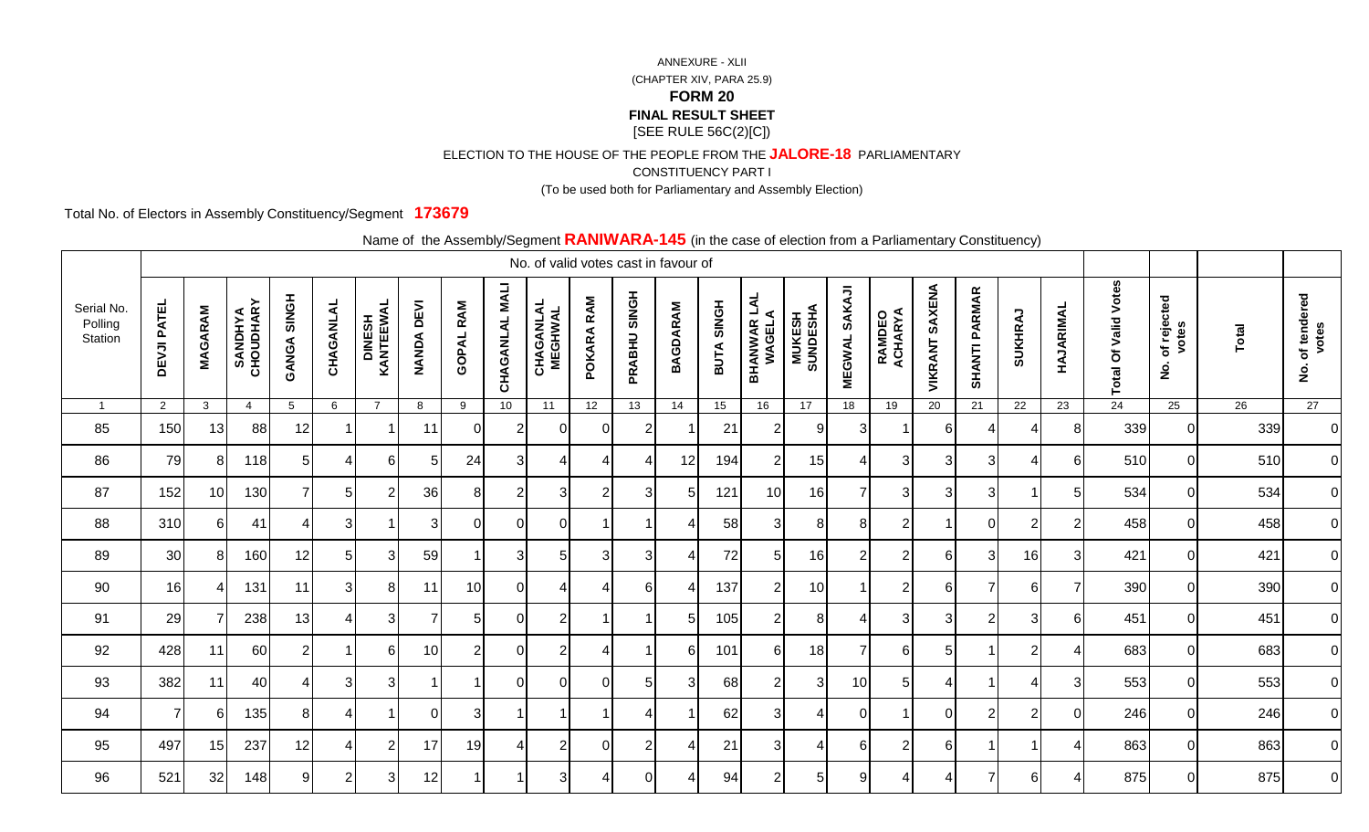ELECTION TO THE HOUSE OF THE PEOPLE FROM THE **JALORE-18** PARLIAMENTARY

CONSTITUENCY PART I

(To be used both for Parliamentary and Assembly Election)

Total No. of Electors in Assembly Constituency/Segment **173679**

|                                  |                    |                |                             |                    |           |                             |                             |                  |                          | No. of valid votes cast in favour of |                 |                |                 |                             |                               |                            |                                |                           |                   |                      | <u>------------,</u>    |                |                            |                                            |       |                                            |
|----------------------------------|--------------------|----------------|-----------------------------|--------------------|-----------|-----------------------------|-----------------------------|------------------|--------------------------|--------------------------------------|-----------------|----------------|-----------------|-----------------------------|-------------------------------|----------------------------|--------------------------------|---------------------------|-------------------|----------------------|-------------------------|----------------|----------------------------|--------------------------------------------|-------|--------------------------------------------|
| Serial No.<br>Polling<br>Station | <b>DEVJI PATEL</b> | <b>MAGARAM</b> | <b>SANDHYA</b><br>CHOUDHARY | <b>GANGA SINGH</b> | CHAGANLAL | <b>DINESH<br/>KANTEEWAL</b> | <b>DEVI</b><br><b>NANDA</b> | <b>GOPAL RAM</b> | <b>NALI</b><br>CHAGANLAL | <b>CHAGANLAL</b><br>MEGHWAL          | RAM<br>POKARA   | PRABHU SINGH   | <b>BAGDARAM</b> | <b>SINGH</b><br><b>BUTA</b> | <b>BHANWAR LAL<br/>WAGELA</b> | <b>MUKESH<br/>SUNDESHA</b> | <b>SAKAJI</b><br><b>MEGWAL</b> | <b>RAMDEO<br/>ACHARYA</b> | SAXENA<br>VIKRANT | <b>SHANTI PARMAR</b> | SUKHRAJ                 | HAJARIMAL      | Votes<br>Valid<br>Total Of | of rejected<br>votes<br>$\dot{\mathsf{z}}$ | Total | of tendered<br>votes<br>$\dot{\mathbf{2}}$ |
|                                  | $\overline{2}$     | $\mathbf{3}$   | $\overline{4}$              | 5                  | 6         | $\overline{7}$              | 8                           | 9                | 10 <sup>°</sup>          | 11                                   | 12 <sup>2</sup> | 13             | 14              | 15                          | 16                            | 17                         | 18                             | 19                        | 20                | 21                   | 22                      | 23             | 24                         | 25                                         | 26    | 27                                         |
| 85                               | 150                | 13             | 88                          | 12                 |           |                             | 11                          | $\Omega$         | $\overline{2}$           | $\Omega$                             | $\Omega$        | $\overline{2}$ |                 | 21                          | $\overline{2}$                | 9                          | 3                              | -1                        | 6                 | 4                    | 4                       | 8              | 339                        | $\Omega$                                   | 339   | $\overline{0}$                             |
| 86                               | 79                 | 81             | 118                         | 5 <sup>1</sup>     |           | 61                          | 5                           | 24               | 3                        | Δ                                    |                 | 4              | 12              | 194                         | $\overline{2}$                | 15                         | 4                              | 3                         | 3                 | 3                    | 4                       | 6              | 510                        | $\Omega$                                   | 510   | $\overline{0}$                             |
| 87                               | 152                | 10             | 130                         | 7 <sup>1</sup>     | 51        | $\overline{2}$              | 36                          | 8 <sup>1</sup>   | $\overline{2}$           | 3 <sup>l</sup>                       | $\overline{2}$  | 3              | .5              | 121                         | 10                            | 16                         | $\overline{7}$                 | 3                         | 3                 | $\sqrt{3}$           | -1                      | 5              | 534                        | $\mathbf 0$                                | 534   | $\overline{0}$                             |
| 88                               | 310                | 61             | 41                          | $\overline{4}$     | 3         |                             | 3                           | $\Omega$         | $\Omega$                 | $\Omega$                             |                 |                |                 | 58                          | 3 <sup>1</sup>                | 8                          | 8 <sup>1</sup>                 | $\overline{2}$            |                   | $\mathbf 0$          | $\overline{c}$          | $\overline{2}$ | 458                        | $\mathbf 0$                                | 458   | 0                                          |
| 89                               | 30                 | 8              | 160                         | 12                 | 5         | 3                           | 59                          |                  | 3                        | 5                                    | 3               | 3              |                 | 72                          | 5                             | 16                         | $\overline{2}$                 | $\overline{2}$            | 6                 | 3                    | 16                      | 3              | 421                        | $\Omega$                                   | 421   | $\overline{0}$                             |
| 90                               | 16                 | 4              | 131                         | 11                 | 31        | 8                           | 11                          | 10               | $\overline{0}$           | Δ                                    | 4               | 6              |                 | 137                         | $\overline{2}$                | 10                         | $\overline{1}$                 | $\overline{2}$            | $6\phantom{1}6$   | $\overline{7}$       | $6\phantom{1}6$         | 7              | 390                        | $\mathbf 0$                                | 390   | $\overline{0}$                             |
| 91                               | 29                 |                | 238                         | 13                 |           | 3                           | 7                           | 5                | $\Omega$                 | $\mathfrak{p}$                       |                 |                | 5               | 105                         | $\overline{2}$                | 8                          | $\boldsymbol{\Delta}$          | 3                         | 3                 | $\overline{2}$       | 3                       | 6              | 451                        | $\Omega$                                   | 451   | 0                                          |
| 92                               | 428                | 11             | 60                          | $\overline{2}$     |           | 61                          | 10                          | 2                | $\Omega$                 | 2                                    |                 |                | 6               | 101                         | 6                             | 18                         | $\overline{7}$                 | 6                         | 5                 |                      | $\overline{2}$          |                | 683                        | $\Omega$                                   | 683   | $\overline{O}$                             |
| 93                               | 382                | 11             | 40                          | $\overline{4}$     | 31        | 31                          |                             | -1               | <sup>0</sup>             | $\Omega$                             | $\mathbf{0}$    | 5              | 3               | 68                          | $\overline{2}$                | 3                          | 10                             | $\overline{5}$            | -4                | -1                   | $\overline{4}$          | 3              | 553                        | $\mathbf 0$                                | 553   | $\overline{0}$                             |
| 94                               | $\overline{7}$     | 61             | 135                         | 81                 | 4         |                             | $\Omega$                    | 3                | -1                       | -1                                   | -1              | 4              |                 | 62                          | 3                             | 4                          | <sup>O</sup>                   | $\mathbf 1$               | 0                 | $\overline{2}$       | $\overline{c}$          | $\Omega$       | 246                        | $\Omega$                                   | 246   | $\overline{O}$                             |
| 95                               | 497                | 15             | 237                         | 12                 |           | 2                           | 17                          | 19               | ⊿                        | $\overline{c}$                       | $\Omega$        | $\overline{2}$ |                 | 21                          | 3                             | 4                          | 6                              | $\overline{2}$            | 6                 |                      | $\overline{\mathbf{1}}$ | Δ              | 863                        | $\Omega$                                   | 863   | $\overline{0}$                             |
| 96                               | 521                | 32             | 148                         | 9                  | 2         | 3                           | 12                          |                  |                          | 3                                    |                 | $\Omega$       |                 | 94                          | $\overline{2}$                | 5 <sub>l</sub>             | 9                              | 4                         | 4                 | $\overline{7}$       | 6                       |                | 875                        | $\Omega$                                   | 875   | $\overline{O}$                             |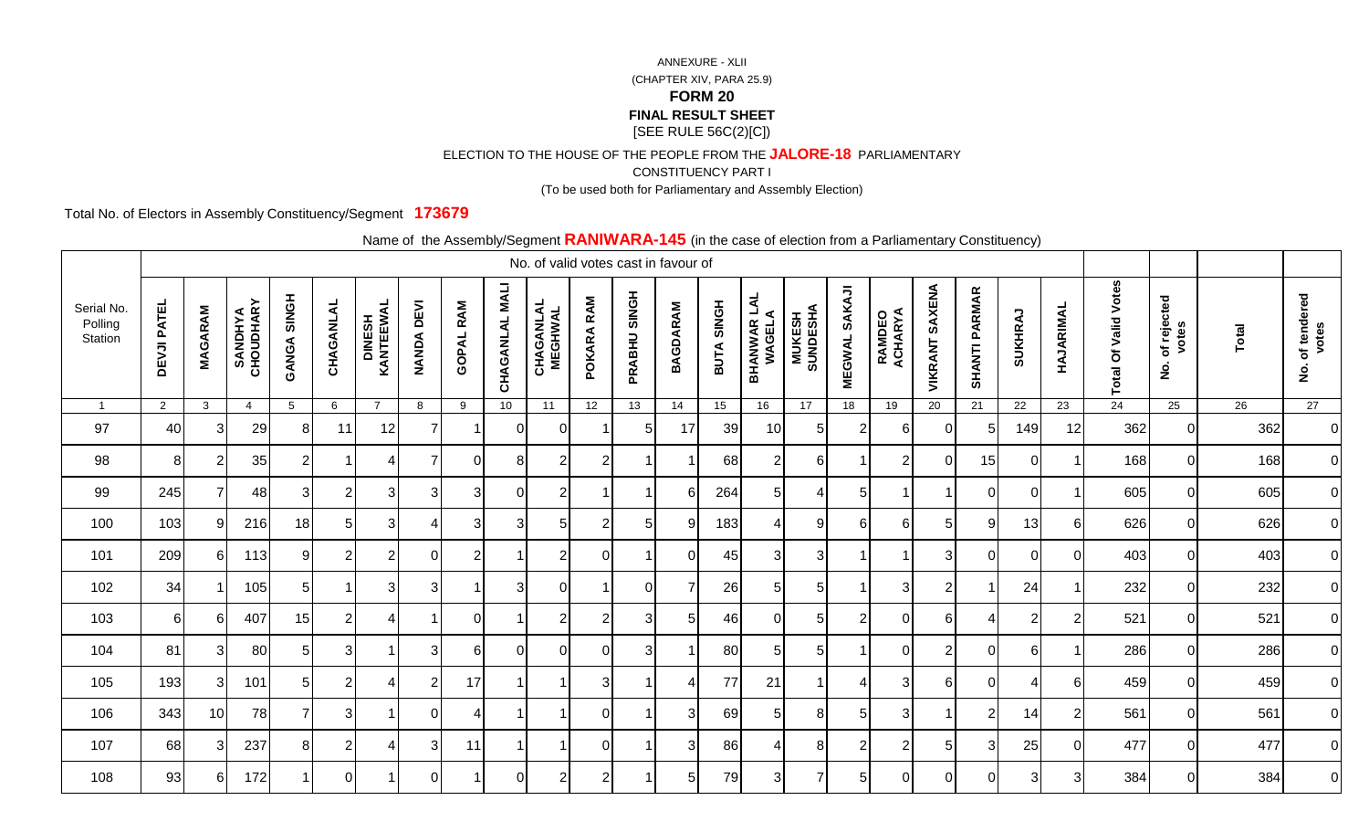ELECTION TO THE HOUSE OF THE PEOPLE FROM THE **JALORE-18** PARLIAMENTARY

CONSTITUENCY PART I

(To be used both for Parliamentary and Assembly Election)

Total No. of Electors in Assembly Constituency/Segment **173679**

|                                  |                    |                |                             |                    |                |                     |                             | $\frac{1}{2}$    |                          | No. of valid votes cast in favour of |                |              |                 |            |                               |                            |                         | $\sim$ 0.000 or 0.000.011 nome at annumentary conomacticy, |                          |                      |                |                         |                             |                                            |       |                                            |
|----------------------------------|--------------------|----------------|-----------------------------|--------------------|----------------|---------------------|-----------------------------|------------------|--------------------------|--------------------------------------|----------------|--------------|-----------------|------------|-------------------------------|----------------------------|-------------------------|------------------------------------------------------------|--------------------------|----------------------|----------------|-------------------------|-----------------------------|--------------------------------------------|-------|--------------------------------------------|
| Serial No.<br>Polling<br>Station | <b>DEVJI PATEL</b> | <b>MAGARAM</b> | <b>SANDHYA</b><br>CHOUDHARY | <b>GANGA SINGH</b> | CHAGANLAL      | DINESH<br>KANTEEWAL | <b>DEVI</b><br><b>NANDA</b> | <b>GOPAL RAM</b> | <b>NALI</b><br>CHAGANLAL | <b>CHAGANLAL</b><br>MEGHWAL          | POKARA RAM     | PRABHU SINGH | <b>BAGDARAM</b> | BUTA SINGH | <b>BHANWAR LAL<br/>WAGELA</b> | <b>MUKESH<br/>SUNDESHA</b> | SAKAJI<br><b>MEGWAL</b> | <b>RAMDEO<br/>ACHARYA</b>                                  | <b>SAXENA</b><br>VIKRANT | <b>SHANTI PARMAR</b> | <b>SUKHRAJ</b> | HAJARIMAL               | <b>Total Of Valid Votes</b> | of rejected<br>votes<br>$\dot{\mathbf{2}}$ | Total | of tendered<br>votes<br>$\dot{\mathbf{g}}$ |
| $\overline{1}$                   | $\overline{2}$     | $\mathbf{3}$   | $\overline{4}$              | $5\phantom{.0}$    | 6              | $\overline{7}$      | 8                           | 9                | 10 <sup>1</sup>          | 11                                   | 12             | 13           | 14              | 15         | 16                            | 17                         | 18                      | 19                                                         | 20                       | 21                   | 22             | 23                      | 24                          | 25                                         | 26    | 27                                         |
| 97                               | 40                 | 31             | 29                          | 8                  | 11             | 12                  |                             |                  | $\Omega$                 | $\Omega$                             |                | 5            | 17              | 39         | 10                            | 5                          | $\overline{2}$          | 6                                                          | 0                        | 5                    | 149            | 12                      | 362                         |                                            | 362   | $\overline{0}$                             |
| 98                               | 8                  | $\overline{2}$ | 35                          | $\overline{2}$     |                | ⊿                   |                             | $\overline{0}$   | 8                        | 2                                    | $\overline{2}$ |              |                 | 68         | $\overline{2}$                | $6 \mid$                   |                         | $\overline{2}$                                             | $\mathbf 0$              | 15                   | $\overline{0}$ |                         | 168                         | $\Omega$                                   | 168   | $\overline{0}$                             |
| 99                               | 245                |                | 48                          | 3                  | $\overline{2}$ | 3 <sup>l</sup>      | $\overline{3}$              | 3                | $\overline{0}$           | $\overline{2}$                       | -1             |              | 6               | 264        | 5 <sub>l</sub>                | 4                          | 5 <sub>l</sub>          | $\overline{1}$                                             | -1                       | $\overline{0}$       | $\overline{0}$ | $\overline{\mathbf{1}}$ | 605                         | $\Omega$                                   | 605   | $\overline{0}$                             |
| 100                              | 103                | 91             | 216                         | 18                 |                | 3                   |                             | 3                | 3 <sup>l</sup>           | 5                                    | 2              | 5            | -9              | 183        | 4                             | 9                          | $6 \mid$                | $6 \mid$                                                   | 5                        | 9                    | 13             | 6                       | 626                         | $\Omega$                                   | 626   | $\overline{0}$                             |
| 101                              | 209                | 61             | 113                         | 9 <sub>l</sub>     | 2              | $\overline{2}$      | ΩI                          | $\overline{2}$   |                          | $\overline{2}$                       | $\Omega$       |              | $\Omega$        | 45         | 3                             | 3 <sup>l</sup>             |                         | -1                                                         | 3                        | $\overline{0}$       | 0              | $\Omega$                | 403                         | $\Omega$                                   | 403   | $\overline{0}$                             |
| 102                              | 34                 |                | 105                         | 5 <sup>1</sup>     |                | $\overline{3}$      | $\mathbf{3}$                | -1               | 3                        | $\Omega$                             | -1             | $\Omega$     | $\overline{7}$  | 26         | 5                             | 5 <sup>5</sup>             | $\mathbf 1$             | 3                                                          | $\overline{2}$           | $\overline{1}$       | 24             |                         | 232                         | $\Omega$                                   | 232   | $\overline{0}$                             |
| 103                              | 61                 | 61             | 407                         | 15                 | 2              |                     |                             | $\Omega$         |                          | 2                                    | 2              | 3            | 5               | 46         | $\Omega$                      | 5 <sup>1</sup>             | 2                       | $\Omega$                                                   | 6                        | Δ                    | $\overline{2}$ | $\overline{2}$          | 521                         | $\Omega$                                   | 521   | $\overline{0}$                             |
| 104                              | 81                 | 31             | 80                          | 5 <sub>l</sub>     | 3              |                     | 3                           | 61               | $\Omega$                 | $\Omega$                             | $\Omega$       | 3            |                 | 80         | 5                             | 5                          |                         | $\mathbf 0$                                                | $\overline{2}$           | $\overline{0}$       | $6 \mid$       |                         | 286                         | $\Omega$                                   | 286   | $\overline{0}$                             |
| 105                              | 193                | 31             | 101                         | 5 <sup>1</sup>     | $\overline{2}$ | 4                   | $\overline{2}$              | 17               | -1                       | -1                                   | 3              |              | 4               | 77         | 21                            |                            | $\overline{4}$          | 3                                                          | 6                        | $\overline{0}$       | $\overline{4}$ | 6                       | 459                         | $\Omega$                                   | 459   | $\overline{0}$                             |
| 106                              | 343                | 10             | 78                          | $\overline{7}$     | $\overline{3}$ |                     | ΩI                          | 4                |                          |                                      | $\Omega$       |              | 3               | 69         | 5                             | 8                          | 5 <sub>l</sub>          | $\sqrt{3}$                                                 | $\overline{\mathbf{1}}$  | $\mathbf{2}$         | 14             | $\overline{2}$          | 561                         | $\Omega$                                   | 561   | $\overline{0}$                             |
| 107                              | 68                 | 31             | 237                         | 8 <sup>1</sup>     | 2              |                     | 3                           | 11               |                          |                                      | $\Omega$       |              | 3               | 86         | 4                             | 8                          | $\overline{2}$          | 2                                                          | 5                        | $\mathbf{3}$         | 25             | $\Omega$                | 477                         | $\Omega$                                   | 477   | $\overline{O}$                             |
| 108                              | 93                 | 61             | 172                         |                    | $\Omega$       |                     | ΩI                          |                  | $\Omega$                 | $\overline{c}$                       | $\overline{2}$ |              | 5               | 79         | 3                             | 7                          | $5\overline{)}$         | $\Omega$                                                   | $\Omega$                 | $\overline{0}$       | 3              | 3                       | 384                         | $\Omega$                                   | 384   | $\overline{0}$                             |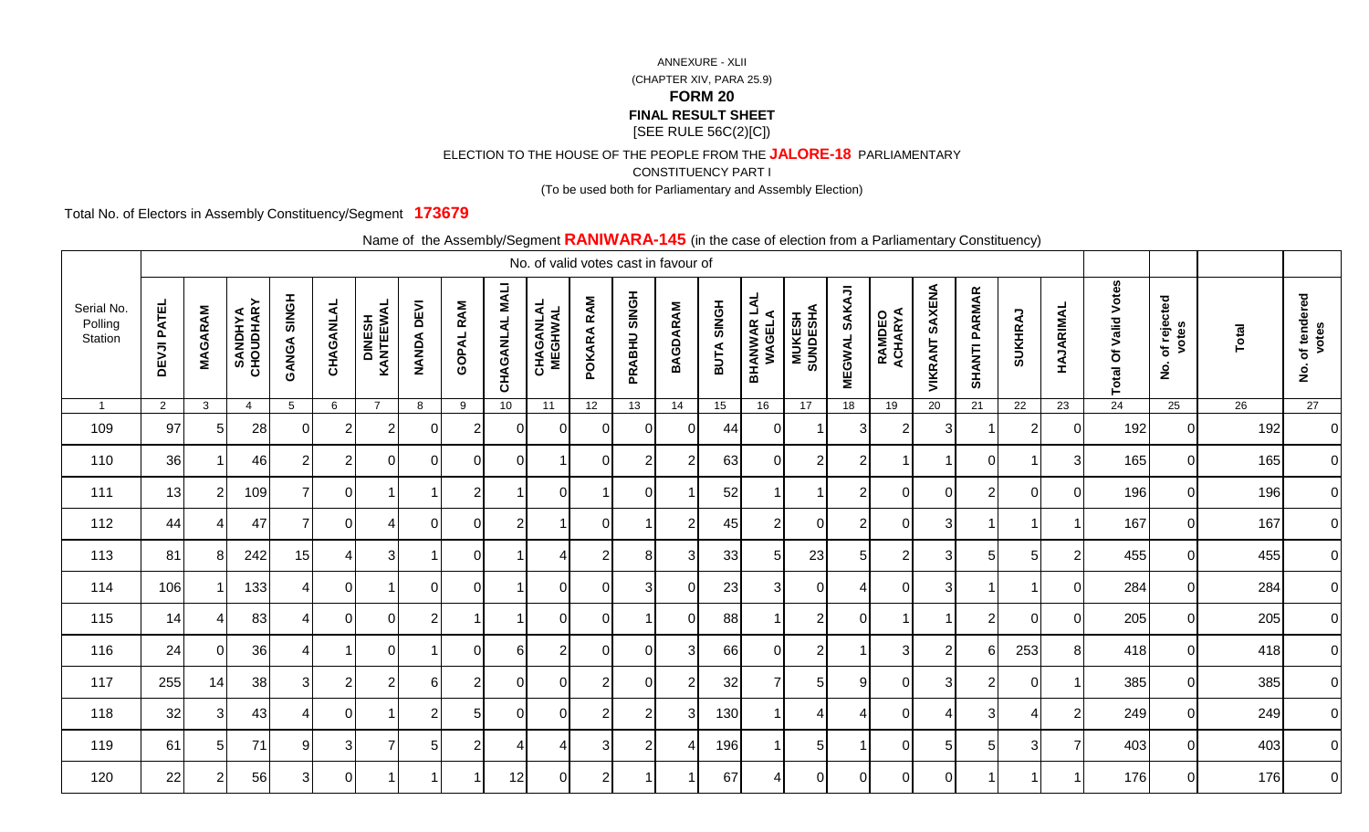ELECTION TO THE HOUSE OF THE PEOPLE FROM THE **JALORE-18** PARLIAMENTARY

CONSTITUENCY PART I

(To be used both for Parliamentary and Assembly Election)

Total No. of Electors in Assembly Constituency/Segment **173679**

|                                  |                    |                |                             |                          |                |                             |                             | $\frac{1}{2}$    |                          | ′ອ'<br>No. of valid votes cast in favour of |                |                |                 |            | $\sim$ 0.000 or 0.000.011 montrain annual community content corresponding $\sim$ |                            |                                |                   |                   |                      |                       |                |                             |                                            |       |                                            |
|----------------------------------|--------------------|----------------|-----------------------------|--------------------------|----------------|-----------------------------|-----------------------------|------------------|--------------------------|---------------------------------------------|----------------|----------------|-----------------|------------|----------------------------------------------------------------------------------|----------------------------|--------------------------------|-------------------|-------------------|----------------------|-----------------------|----------------|-----------------------------|--------------------------------------------|-------|--------------------------------------------|
| Serial No.<br>Polling<br>Station | <b>DEVJI PATEL</b> | <b>MAGARAM</b> | <b>SANDHYA</b><br>CHOUDHARY | <b>GANGA SINGH</b>       | CHAGANLAL      | <b>DINESH<br/>KANTEEWAL</b> | <b>DEVI</b><br><b>NANDA</b> | <b>GOPAL RAM</b> | <b>NALI</b><br>CHAGANLAL | <b>CHAGANLAL</b><br>MEGHWAL                 | RAM<br>POKARA  | PRABHU SINGH   | <b>BAGDARAM</b> | BUTA SINGH | <b>BHANWAR LAL<br/>WAGELA</b>                                                    | <b>MUKESH<br/>SUNDESHA</b> | <b>SAKAJI</b><br><b>MEGWAL</b> | RAMDEO<br>ACHARYA | SAXENA<br>VIKRANT | <b>SHANTI PARMAR</b> | SUKHRAJ               | HAJARIMAL      | <b>Total Of Valid Votes</b> | of rejected<br>votes<br>$\dot{\mathbf{2}}$ | Total | of tendered<br>votes<br>$\dot{\mathbf{g}}$ |
| $\overline{1}$                   | $\overline{2}$     | $\mathbf{3}$   | $\overline{4}$              | $5\overline{)}$          | 6              | $\overline{7}$              | 8                           | 9                | 10                       | 11                                          | 12             | 13             | 14              | 15         | 16                                                                               | 17                         | 18                             | 19                | 20                | $\overline{21}$      | $\overline{22}$       | 23             | 24                          | 25                                         | 26    | 27                                         |
| 109                              | 97                 | 5 <sub>l</sub> | 28                          | 0I                       |                | 2                           | $\Omega$                    | 2                | $\Omega$                 | $\Omega$                                    | $\Omega$       | $\Omega$       | $\Omega$        | 44         | $\Omega$                                                                         |                            | 3                              | 2                 | 3                 |                      | 2                     | $\Omega$       | 192                         | 0 I                                        | 192   | $\overline{0}$                             |
| 110                              | 36                 |                | 46                          | 2 <sub>1</sub>           | 2              | $\Omega$                    | $\Omega$                    | $\overline{0}$   | $\overline{0}$           |                                             | $\Omega$       | $\overline{2}$ | $\overline{2}$  | 63         | $\Omega$                                                                         | $\overline{2}$             | $\overline{2}$                 |                   |                   | $\mathbf 0$          |                       | 3              | 165                         | ΟI                                         | 165   | $\overline{0}$                             |
| 111                              | 13                 | $\overline{2}$ | 109                         | 7                        | <sup>O</sup>   |                             |                             | $\mathbf{2}$     |                          | $\overline{0}$                              |                | $\overline{0}$ | -1              | 52         | -1                                                                               |                            | $\overline{2}$                 | $\mathbf 0$       | 0                 | $\sqrt{2}$           | $\mathbf 0$           | $\Omega$       | 196                         | 0                                          | 196   | $\overline{0}$                             |
| 112                              | 44                 |                | 47                          | 71                       | $\Omega$       |                             | $\Omega$                    | 0                | $\overline{2}$           |                                             | $\Omega$       |                | $\overline{2}$  | 45         | $\overline{2}$                                                                   | $\mathbf 0$                | $\overline{2}$                 | $\Omega$          | 3                 |                      |                       |                | 167                         | $\overline{0}$                             | 167   | $\overline{0}$                             |
| 113                              | 81                 | 81             | 242                         | 15                       |                | 31                          |                             | 0                |                          | ⊿                                           | 2              | 8              | 3               | 33         | 5                                                                                | 23                         | 5                              | 2                 | 3                 | 5                    | 5                     | $\overline{2}$ | 455                         | ΟI                                         | 455   | $\overline{0}$                             |
| 114                              | 106                |                | 133                         | 4                        | 0I             | 1                           | $\Omega$                    | $\overline{0}$   |                          | $\Omega$                                    | ΟI             | $\overline{3}$ | $\Omega$        | 23         | 3 <sup>1</sup>                                                                   | $\Omega$                   | 4                              | $\Omega$          | $\overline{3}$    |                      |                       | $\Omega$       | 284                         | $\overline{0}$                             | 284   | $\overline{0}$                             |
| 115                              | 14                 |                | 83                          |                          | $\Omega$       | $\Omega$                    | 2                           |                  |                          | $\Omega$                                    | $\Omega$       |                | $\Omega$        | 88         |                                                                                  | $\overline{2}$             | $\Omega$                       |                   |                   | $\overline{2}$       | $\Omega$              | $\Omega$       | 205                         | $\overline{0}$                             | 205   | $\overline{0}$                             |
| 116                              | 24                 | <sup>0</sup>   | 36                          | $\overline{4}$           |                | $\Omega$                    |                             | $\Omega$         | 6                        | 2                                           | $\Omega$       | $\Omega$       | 3               | 66         | $\Omega$                                                                         | 2                          |                                | 3                 | $\overline{2}$    | 6                    | 253                   | 8              | 418                         | $\overline{0}$                             | 418   | $\overline{0}$                             |
| 117                              | 255                | 14             | 38                          | 3 <sup>1</sup>           | $\overline{2}$ | $\overline{2}$              | 61                          | $\overline{2}$   | $\overline{0}$           | $\overline{0}$                              | $\overline{2}$ | $\Omega$       | $\overline{2}$  | 32         | 7                                                                                | 5 <sub>l</sub>             | 9                              | $\mathbf 0$       | $\mathbf{3}$      | $\overline{2}$       | $\mathbf 0$           |                | 385                         | $\overline{0}$                             | 385   | $\overline{0}$                             |
| 118                              | 32                 | 3I             | 43                          | $\overline{\mathcal{A}}$ | $\Omega$       |                             | $\overline{2}$              | 5 <sub>l</sub>   | $\Omega$                 | $\overline{0}$                              | $\overline{2}$ | $\overline{2}$ | $\mathcal{E}$   | 130        |                                                                                  | 4                          | $\boldsymbol{A}$               | $\Omega$          | 4                 | 3                    | $\boldsymbol{\Delta}$ | $\mathcal{P}$  | 249                         | $\overline{0}$                             | 249   | $\overline{0}$                             |
| 119                              | 61                 | 51             | 71                          | 9                        | 3              | 7                           |                             | $\overline{2}$   |                          | 4                                           | 3              | $\overline{2}$ |                 | 196        |                                                                                  | 5                          |                                | $\Omega$          | 5                 | 5                    | 3                     |                | 403                         | $\overline{0}$                             | 403   | $\overline{0}$                             |
| 120                              | 22                 | $\overline{2}$ | 56                          | 3 <sup>1</sup>           | 0              |                             |                             |                  | 12                       | $\overline{0}$                              | $\overline{2}$ |                |                 | 67         |                                                                                  | $\Omega$                   | $\Omega$                       | $\Omega$          | $\Omega$          |                      |                       |                | 176                         | $\overline{0}$                             | 176   | $\overline{0}$                             |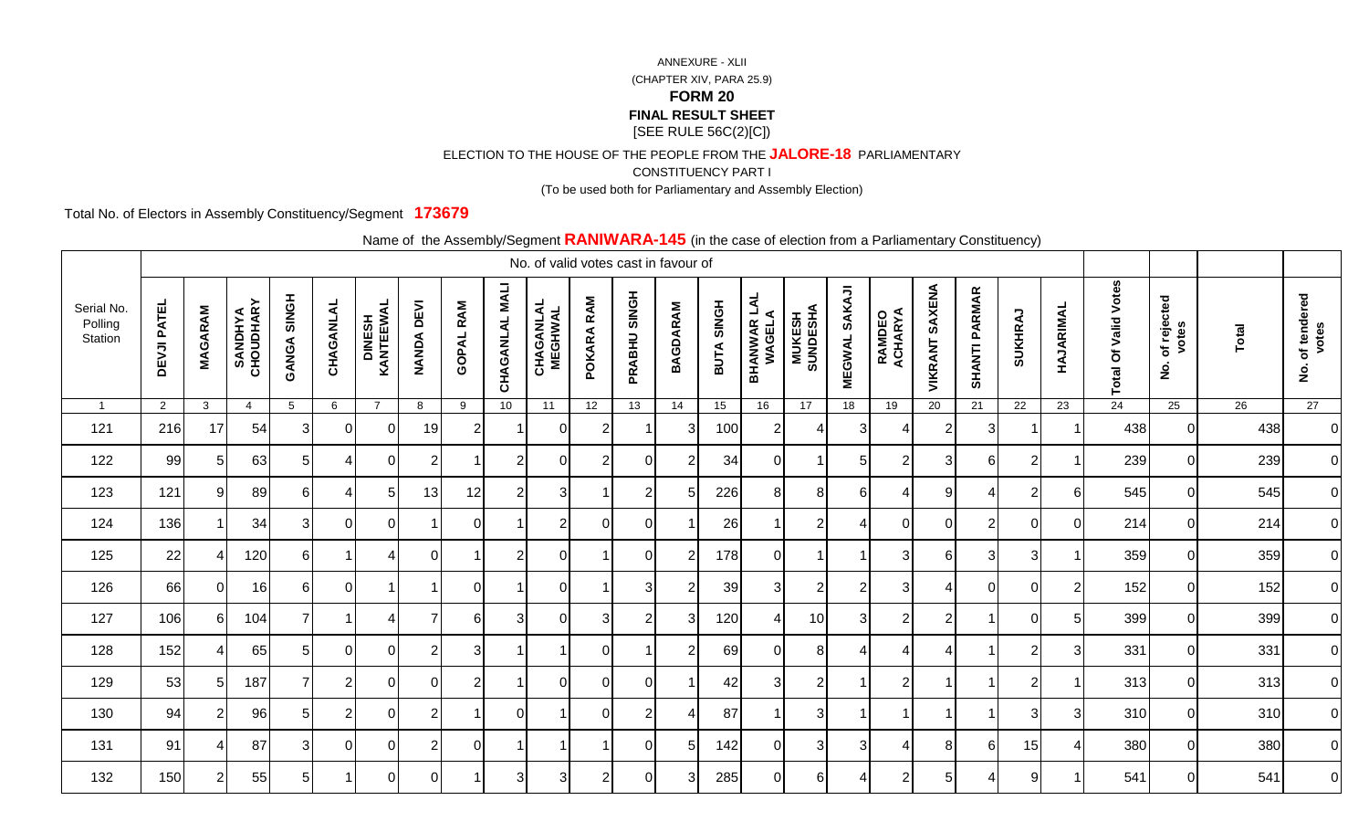ELECTION TO THE HOUSE OF THE PEOPLE FROM THE **JALORE-18** PARLIAMENTARY

CONSTITUENCY PART I

(To be used both for Parliamentary and Assembly Election)

Total No. of Electors in Assembly Constituency/Segment **173679**

|                                  |                    |                |                             |                    |                |                     |                             | $\frac{1}{2}$    |                 | No. of valid votes cast in favour of |                |                |                 |            |                               |                            |                         | $\sim$ 0.000 or 0.000.011 nome at annumentary conomacticy, |                          |                      |                |                 |                             |                                            |       |                                            |
|----------------------------------|--------------------|----------------|-----------------------------|--------------------|----------------|---------------------|-----------------------------|------------------|-----------------|--------------------------------------|----------------|----------------|-----------------|------------|-------------------------------|----------------------------|-------------------------|------------------------------------------------------------|--------------------------|----------------------|----------------|-----------------|-----------------------------|--------------------------------------------|-------|--------------------------------------------|
| Serial No.<br>Polling<br>Station | <b>DEVJI PATEL</b> | <b>MAGARAM</b> | <b>SANDHYA</b><br>CHOUDHARY | <b>GANGA SINGH</b> | CHAGANLAL      | DINESH<br>KANTEEWAL | <b>DEVI</b><br><b>NANDA</b> | <b>GOPAL RAM</b> | CHAGANLAL MALI  | <b>CHAGANLAL</b><br>MEGHWAL          | POKARA RAM     | PRABHU SINGH   | <b>BAGDARAM</b> | BUTA SINGH | <b>BHANWAR LAL<br/>WAGELA</b> | <b>MUKESH<br/>SUNDESHA</b> | SAKAJI<br><b>MEGWAL</b> | <b>RAMDEO<br/>ACHARYA</b>                                  | <b>SAXENA</b><br>VIKRANT | <b>SHANTI PARMAR</b> | SUKHRAJ        | HAJARIMAL       | <b>Total Of Valid Votes</b> | of rejected<br>votes<br>$\dot{\mathbf{2}}$ | Total | of tendered<br>votes<br>$\dot{\mathbf{g}}$ |
| $\overline{1}$                   | $\overline{2}$     | $\mathbf{3}$   | $\overline{4}$              | $5\phantom{.0}$    | 6              | $\overline{7}$      | 8                           | 9                | 10 <sup>1</sup> | 11                                   | 12             | 13             | 14              | 15         | 16                            | 17                         | 18                      | 19                                                         | 20                       | 21                   | 22             | 23              | 24                          | 25                                         | 26    | 27                                         |
| 121                              | 216                | 17             | 54                          | 31                 | ΩI             | $\Omega$            | 19                          | 2                |                 | $\Omega$                             | 2              |                | 3               | 100        | 2 <sub>1</sub>                |                            | 3                       | 4                                                          | $\overline{2}$           | 3                    |                |                 | 438                         |                                            | 438   | $\overline{0}$                             |
| 122                              | 99                 | 5 <sup>1</sup> | 63                          | 5 <sub>l</sub>     |                | $\overline{0}$      | $\overline{2}$              |                  | $\overline{2}$  | $\Omega$                             | $\overline{2}$ | 0              | $\overline{2}$  | 34         | 0                             |                            | $\sqrt{5}$              | $\overline{2}$                                             | 3                        | $6 \overline{6}$     | $\overline{2}$ |                 | 239                         | $\Omega$                                   | 239   | $\overline{0}$                             |
| 123                              | 121                | 9 <sup>1</sup> | 89                          | $6 \mid$           | 4              | 5 <sub>l</sub>      | 13                          | 12               | $\overline{2}$  | 3 <sub>l</sub>                       | -1             | $\overline{2}$ | 5               | 226        | 8                             | 8 <sup>1</sup>             | $6 \mid$                | $\overline{4}$                                             | $9\,$                    | $\overline{4}$       | $\overline{2}$ | $6\phantom{1}6$ | 545                         | $\Omega$                                   | 545   | $\overline{O}$                             |
| 124                              | 136                |                | 34                          | 3                  | $\Omega$       | $\overline{0}$      |                             | 0                |                 | $\overline{2}$                       | $\Omega$       | 0              |                 | 26         |                               | $\overline{2}$             | $\overline{4}$          | $\overline{0}$                                             | 0                        | $\overline{2}$       | $\mathbf 0$    | $\Omega$        | 214                         | $\overline{0}$                             | 214   | $\overline{0}$                             |
| 125                              | 22                 |                | 120                         | 61                 |                | Δ                   | ΩI                          |                  | $\overline{2}$  | $\Omega$                             |                | 0              | -2              | 178        | $\mathbf 0$                   |                            |                         | 3                                                          | 6                        | 3                    | 3              |                 | 359                         | $\Omega$                                   | 359   | $\overline{O}$                             |
| 126                              | 66                 | $\overline{0}$ | 16                          | 6I                 | $\Omega$       |                     |                             | $\Omega$         |                 | $\Omega$                             |                | 3              | $\overline{2}$  | 39         | 3                             | $\overline{2}$             | $\overline{2}$          | 3                                                          | 4                        | $\overline{0}$       | $\overline{0}$ | $\overline{2}$  | 152                         | $\Omega$                                   | 152   | $\overline{0}$                             |
| 127                              | 106                | 61             | 104                         | 7                  |                |                     |                             | 61               | 3               | $\Omega$                             | 3              | $\overline{2}$ | 3               | 120        | Δ                             | 10                         | $\overline{3}$          | $\overline{2}$                                             | $\overline{2}$           | $\overline{1}$       | $\Omega$       | 5               | 399                         | $\Omega$                                   | 399   | $\overline{0}$                             |
| 128                              | 152                | $\overline{4}$ | 65                          | 5                  | $\Omega$       | $\Omega$            | 2                           | 3                |                 |                                      | $\Omega$       |                | 2               | 69         | $\Omega$                      | 8                          | 4                       | 4                                                          | $\boldsymbol{\varDelta}$ | -1                   | $\overline{2}$ | 3               | 331                         | $\Omega$                                   | 331   | $\overline{0}$                             |
| 129                              | 53                 | 5 <sub>l</sub> | 187                         | $\overline{7}$     | $\overline{2}$ | $\overline{0}$      | 0I                          | 2 <sub>l</sub>   | -1              | $\overline{0}$                       | $\mathbf 0$    | $\mathbf 0$    |                 | 42         | $\mathbf{3}$                  | 2                          | $\mathbf{1}$            | $\overline{2}$                                             | -1                       | $\overline{1}$       | $\overline{2}$ |                 | 313                         | $\Omega$                                   | 313   | $\overline{0}$                             |
| 130                              | 94                 | 2 <sub>l</sub> | 96                          | 5 <sub>l</sub>     | $\overline{2}$ | $\overline{0}$      | 2 <sub>l</sub>              |                  | $\Omega$        |                                      | $\Omega$       | $\overline{2}$ |                 | 87         |                               | 3 <sup>l</sup>             | $\overline{1}$          | $\overline{1}$                                             | $\overline{\mathbf{1}}$  | $\overline{1}$       | 3              | 3               | 310                         | $\Omega$                                   | 310   | $\overline{0}$                             |
| 131                              | 91                 |                | 87                          | $3 \mid$           | $\Omega$       | $\Omega$            | $\overline{2}$              | $\Omega$         |                 |                                      |                | $\Omega$       | .5              | 142        | $\Omega$                      | 3                          | 3                       | $\boldsymbol{\Delta}$                                      | 8                        | $6 \mid$             | 15             | Δ               | 380                         | $\Omega$                                   | 380   | $\overline{O}$                             |
| 132                              | 150                | 2 <sub>l</sub> | 55                          | 5 <sub>l</sub>     |                | $\Omega$            | 0I                          |                  | 3               | 3                                    | $\overline{2}$ | $\Omega$       | 3               | 285        | 0                             | $6 \mid$                   | 4                       | $\overline{2}$                                             | 5                        | 4                    | 9              |                 | 541                         | $\Omega$                                   | 541   | $\overline{0}$                             |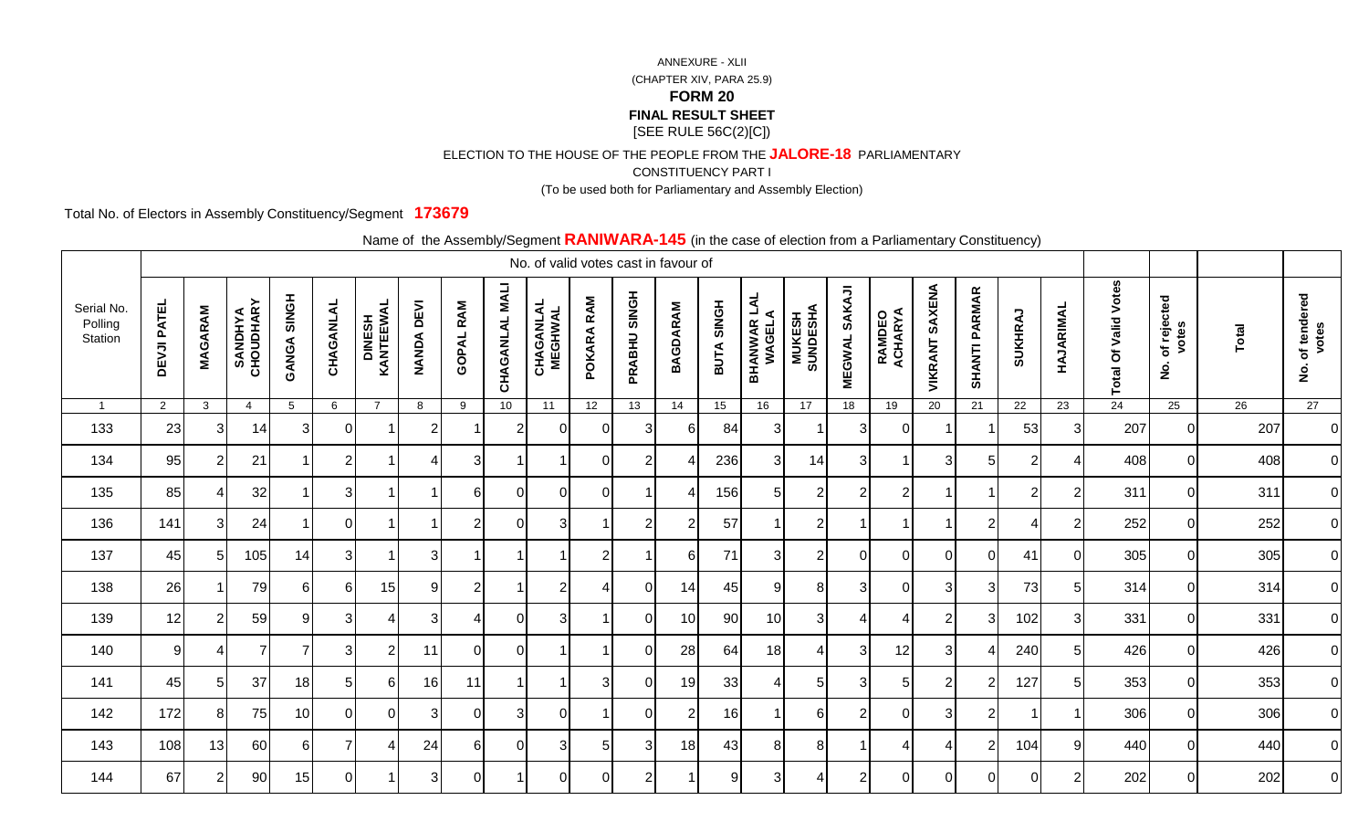ELECTION TO THE HOUSE OF THE PEOPLE FROM THE **JALORE-18** PARLIAMENTARY

CONSTITUENCY PART I

(To be used both for Parliamentary and Assembly Election)

Total No. of Electors in Assembly Constituency/Segment **173679**

|                                  |                    |                |                             |                    |                |                     |                             |                  |                 | No. of valid votes cast in favour of |                |                |                 |            |                               |                            |                                |                       |                       |                      |                |                |                                       |                                            |              |                                            |
|----------------------------------|--------------------|----------------|-----------------------------|--------------------|----------------|---------------------|-----------------------------|------------------|-----------------|--------------------------------------|----------------|----------------|-----------------|------------|-------------------------------|----------------------------|--------------------------------|-----------------------|-----------------------|----------------------|----------------|----------------|---------------------------------------|--------------------------------------------|--------------|--------------------------------------------|
| Serial No.<br>Polling<br>Station | <b>DEVJI PATEL</b> | <b>MAGARAM</b> | <b>SANDHYA</b><br>CHOUDHARY | <b>HONIS AGNAD</b> | CHAGANLAL      | DINESH<br>KANTEEWAL | <b>DEVI</b><br><b>NANDA</b> | <b>GOPAL RAM</b> | CHAGANLAL MALI  | <b>CHAGANLAL</b><br>MEGHWAL          | POKARA RAM     | PRABHU SINGH   | <b>BAGDARAM</b> | BUTA SINGH | <b>BHANWAR LAL<br/>WAGELA</b> | <b>MUKESH<br/>SUNDESHA</b> | <b>SAKAJI</b><br><b>MEGWAL</b> | RAMDEO<br>ACHARYA     | <b>VIKRANT SAXENA</b> | <b>SHANTI PARMAR</b> | SUKHRAJ        | HAJARIMAL      | <b>Votes</b><br><b>Total Of Valid</b> | of rejected<br>votes<br>$\dot{\mathbf{z}}$ | <b>Total</b> | of tendered<br>votes<br>$\dot{\mathbf{g}}$ |
| $\overline{1}$                   | $2^{\circ}$        | $\mathbf{3}$   | $\overline{4}$              | $5\phantom{.0}$    | 6              | $\overline{7}$      | 8                           | 9                | 10 <sup>1</sup> | $\overline{11}$                      | 12             | 13             | 14              | 15         | 16                            | 17                         | 18                             | 19                    | 20                    | 21                   | 22             | 23             | 24                                    | 25                                         | 26           | 27                                         |
| 133                              | 23                 | 31             | 14                          | $\mathbf{3}$       | 0              |                     | $\overline{2}$              |                  | $\overline{2}$  | $\Omega$                             | $\Omega$       | 3              | 6               | 84         | 3                             |                            | 3                              | $\overline{0}$        | -1                    | -1                   | 53             | 3              | 207                                   | $\Omega$                                   | 207          | $\overline{0}$                             |
| 134                              | 95                 | $\overline{2}$ | 21                          |                    | $\overline{2}$ |                     |                             | 3                |                 |                                      | $\Omega$       | $\overline{2}$ |                 | 236        | 3                             | 14                         | $\mathbf{3}$                   | $\overline{1}$        | 3                     | 5 <sub>l</sub>       | $\overline{2}$ | Δ              | 408                                   | $\Omega$                                   | 408          | $\overline{0}$                             |
| 135                              | 85                 | $\overline{4}$ | 32                          |                    | $\mathbf{3}$   |                     |                             | $6 \mid$         | $\Omega$        | $\Omega$                             | 0              |                |                 | 156        | 5 <sub>l</sub>                | $\overline{2}$             | $\overline{c}$                 | $\overline{2}$        | -1                    | $\overline{1}$       | $\overline{2}$ | $\overline{2}$ | 311                                   | $\overline{0}$                             | 311          | $\overline{0}$                             |
| 136                              | 141                | 3I             | 24                          |                    | $\overline{0}$ |                     |                             | $\overline{2}$   | $\overline{0}$  | 3                                    |                | $\overline{2}$ | $\overline{2}$  | 57         |                               | $\overline{2}$             | $\mathbf{1}$                   | $\overline{1}$        | -1                    | $\overline{2}$       | $\overline{4}$ | $\overline{2}$ | 252                                   | $\Omega$                                   | 252          | $\overline{0}$                             |
| 137                              | 45                 | 51             | 105                         | 14                 | 3              |                     | $\mathbf{3}$                |                  |                 |                                      | $\overline{2}$ |                | 6               | 71         | 3                             | $\overline{2}$             | $\overline{0}$                 | $\mathbf 0$           | 0                     | $\overline{0}$       | 41             | $\Omega$       | 305                                   | $\Omega$                                   | 305          | $\overline{0}$                             |
| 138                              | 26                 |                | 79                          | 61                 | -61            | 15                  | 9                           | $\overline{2}$   | -1              | $\overline{2}$                       | 4              | $\overline{0}$ | 14              | 45         | 9                             | 8                          | 3 <sup>l</sup>                 | $\overline{0}$        | 3                     | $\mathbf{3}$         | 73             | 5              | 314                                   | $\overline{0}$                             | 314          | $\overline{O}$                             |
| 139                              | 12                 | $\overline{2}$ | 59                          | 9                  | 3              | 4                   | 3                           | 4                | $\Omega$        | 3                                    |                | $\Omega$       | 10              | 90         | 10                            | 3                          | $\overline{4}$                 | $\boldsymbol{\Delta}$ | $\overline{2}$        | 3                    | 102            | 3              | 331                                   | $\Omega$                                   | 331          | $\overline{0}$                             |
| 140                              | 9 <sub>l</sub>     |                |                             |                    | 3              | $\overline{2}$      | 11                          | $\Omega$         | $\Omega$        |                                      |                | $\Omega$       | 28              | 64         | 18                            |                            | 3                              | 12                    | 3                     | 4                    | 240            | 5              | 426                                   | $\Omega$                                   | 426          | $\overline{O}$                             |
| 141                              | 45                 | 5 <sup>1</sup> | 37                          | 18                 | 5              | 61                  | 16                          | 11               | -1              |                                      | 3              | $\mathbf 0$    | 19              | 33         | 4                             | 5 <sub>l</sub>             | $\mathbf{3}$                   | $\sqrt{5}$            | $\overline{2}$        | $\overline{2}$       | 127            | 5              | 353                                   | $\Omega$                                   | 353          | $\overline{0}$                             |
| 142                              | 172                | 8 <sup>1</sup> | 75                          | 10 <sup>1</sup>    | $\Omega$       | $\overline{0}$      | 3                           | $\overline{0}$   | 3               | $\Omega$                             | -1             | $\mathbf 0$    | $\overline{2}$  | 16         |                               | $6 \mid$                   | $\overline{2}$                 | $\overline{0}$        | $\sqrt{3}$            | $\mathbf{2}$         | $\overline{1}$ |                | 306                                   | $\Omega$                                   | 306          | $\overline{0}$                             |
| 143                              | 108                | 13             | 60                          | 61                 |                |                     | 24                          | 61               | $\Omega$        | 3                                    | 5              | 3              | 18              | 43         | 8                             | 8                          | $\overline{1}$                 | 4                     | 4                     | $\overline{2}$       | 104            | 9              | 440                                   | $\Omega$                                   | 440          | $\overline{0}$                             |
| 144                              | 67                 | 2 <sub>l</sub> | 90 <sup>1</sup>             | 15                 | $\Omega$       |                     | 3                           | $\overline{0}$   |                 | $\Omega$                             | $\Omega$       | $\overline{2}$ |                 | 9          | 3                             | 4                          | $\overline{2}$                 | $\Omega$              | $\Omega$              | $\overline{0}$       | 0              | $\overline{2}$ | 202                                   | $\Omega$                                   | 202          | $\overline{O}$                             |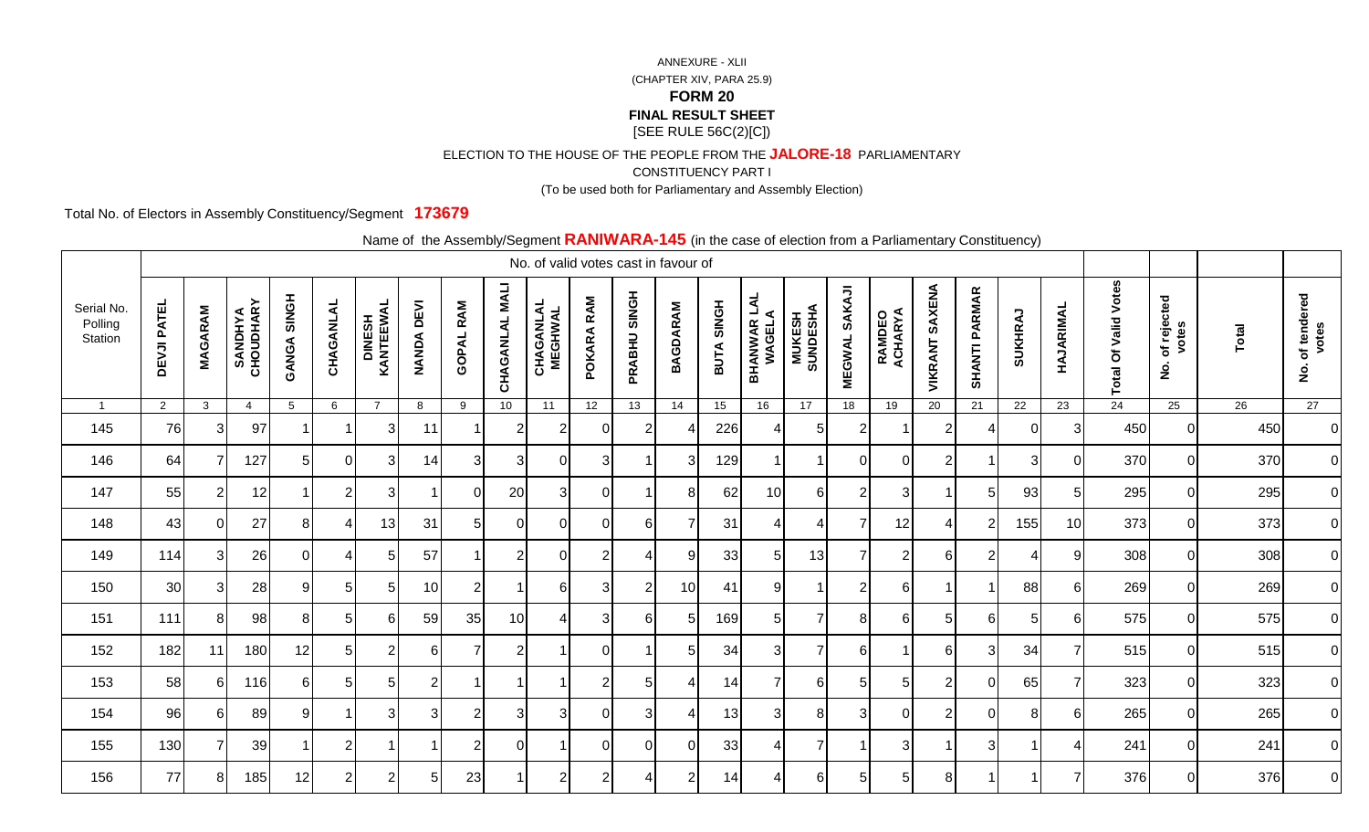ELECTION TO THE HOUSE OF THE PEOPLE FROM THE **JALORE-18** PARLIAMENTARY

CONSTITUENCY PART I

(To be used both for Parliamentary and Assembly Election)

Total No. of Electors in Assembly Constituency/Segment **173679**

|                                  | <u>------------,</u><br>No. of valid votes cast in favour of |                |                             |                    |                |                             |                             |                  |                          |                             |                 |                |                 |            |                               |                            |                                |                           |                   |                      |          |                 |                                                       |                                            |       |                                            |
|----------------------------------|--------------------------------------------------------------|----------------|-----------------------------|--------------------|----------------|-----------------------------|-----------------------------|------------------|--------------------------|-----------------------------|-----------------|----------------|-----------------|------------|-------------------------------|----------------------------|--------------------------------|---------------------------|-------------------|----------------------|----------|-----------------|-------------------------------------------------------|--------------------------------------------|-------|--------------------------------------------|
| Serial No.<br>Polling<br>Station | <b>DEVJI PATEL</b>                                           | <b>MAGARAM</b> | <b>SANDHYA</b><br>CHOUDHARY | <b>HONIS AGNAD</b> | CHAGANLAL      | <b>DINESH<br/>KANTEEWAL</b> | <b>DEVI</b><br><b>NANDA</b> | <b>GOPAL RAM</b> | <b>NALI</b><br>CHAGANLAL | <b>CHAGANLAL</b><br>MEGHWAL | RAM<br>POKARA   | PRABHU SINGH   | <b>BAGDARAM</b> | BUTA SINGH | <b>BHANWAR LAL<br/>WAGELA</b> | <b>MUKESH<br/>SUNDESHA</b> | <b>SAKAJI</b><br><b>MEGWAL</b> | <b>RAMDEO<br/>ACHARYA</b> | SAXENA<br>VIKRANT | <b>SHANTI PARMAR</b> | SUKHRAJ  | HAJARIMAL       | Votes<br>Valid<br>$\mathbf{\ddot{o}}$<br><b>Total</b> | of rejected<br>votes<br>$\dot{\mathbf{2}}$ | Total | of tendered<br>votes<br>$\dot{\mathbf{g}}$ |
| $\overline{1}$                   | $\overline{2}$                                               | $\mathbf{3}$   | $\overline{4}$              | 5                  | 6              | $\overline{7}$              | 8                           | 9                | 10 <sup>1</sup>          | 11                          | 12 <sup>2</sup> | 13             | 14              | 15         | 16                            | 17                         | 18                             | 19                        | 20                | 21                   | 22       | 23              | 24                                                    | 25                                         | 26    | 27                                         |
| 145                              | 76                                                           | $\overline{3}$ | 97                          |                    |                | 3                           | 11                          |                  | $\overline{2}$           | 2                           | $\Omega$        | $\overline{2}$ |                 | 226        | 4                             | 5                          | $\overline{2}$                 |                           | $\overline{2}$    | 4                    | $\Omega$ | 3               | 450                                                   | $\Omega$                                   | 450   | $\overline{O}$                             |
| 146                              | 64                                                           |                | 127                         | 5                  | $\Omega$       | 3                           | 14                          | 3                | 3                        | $\Omega$                    | 3               |                | 3               | 129        |                               |                            | $\Omega$                       | $\Omega$                  | $\overline{2}$    | $\overline{1}$       | 3        | $\Omega$        | 370                                                   | $\Omega$                                   | 370   | $\overline{0}$                             |
| 147                              | 55                                                           | 2 <sub>l</sub> | 12                          | 1                  | $\overline{2}$ | 3                           |                             | $\overline{0}$   | 20                       | 3                           | 0               |                | 8               | 62         | 10                            | $6 \mid$                   | $\overline{2}$                 | 3                         | -1                | 5 <sub>5</sub>       | 93       | 5               | 295                                                   | $\Omega$                                   | 295   | $\overline{O}$                             |
| 148                              | 43                                                           | $\overline{0}$ | 27                          | 8 <sup>1</sup>     | 4              | 13                          | 31                          | 5 <sup>5</sup>   | $\overline{0}$           | $\Omega$                    | $\Omega$        | 6              | 7               | 31         | $\boldsymbol{4}$              | 4                          | $\overline{7}$                 | 12                        | 4                 | $\boldsymbol{2}$     | 155      | 10              | 373                                                   | $\Omega$                                   | 373   | $\overline{0}$                             |
| 149                              | 114                                                          | 3I             | 26                          | 01                 |                | 5                           | 57                          |                  | $\overline{2}$           | 0                           | $\overline{2}$  | Δ              | 9               | 33         | 5                             | 13                         | $\overline{7}$                 | $\overline{2}$            | 6                 | $\overline{2}$       | 4        | 9               | 308                                                   | $\Omega$                                   | 308   | $\overline{0}$                             |
| 150                              | 30                                                           | 3              | 28                          | 9                  | 5              | 5 <sub>l</sub>              | 10                          | $\overline{2}$   | -1                       | 6                           | 3               | $\overline{2}$ | 10              | 41         | 9                             |                            | $\overline{2}$                 | $6 \overline{6}$          | -1                | $\overline{1}$       | 88       | $6\phantom{1}6$ | 269                                                   | $\Omega$                                   | 269   | $\overline{O}$                             |
| 151                              | 111                                                          | 8              | 98 <sup>°</sup>             | 8                  | 5              | $6 \mid$                    | 59                          | 35               | 10 <sup>1</sup>          | Δ                           | 3               | 6              | 5               | 169        | 5                             | $\overline{7}$             | 8                              | 6                         | 5                 | $6 \mid$             | 5        | 6               | 575                                                   | $\Omega$                                   | 575   | $\overline{0}$                             |
| 152                              | 182                                                          | 11             | 180                         | 12                 | 5              | $\overline{2}$              | 61                          | 7                | $\overline{2}$           |                             | ſ               |                | 5               | 34         | 3                             |                            | 6                              | 1                         | 6                 | 3                    | 34       | 7               | 515                                                   | $\Omega$                                   | 515   | $\overline{0}$                             |
| 153                              | 58                                                           | 61             | 116                         | 6                  | 51             | 5 <sub>l</sub>              | $\overline{2}$              | -1               |                          |                             | 2               | 5              | 4               | 14         | 7                             | $6 \mid$                   | 5 <sub>l</sub>                 | $\overline{5}$            | $\overline{2}$    | $\overline{0}$       | 65       | 7               | 323                                                   | $\Omega$                                   | 323   | $\overline{0}$                             |
| 154                              | 96                                                           | 6I             | 89                          | 91                 |                | $\mathbf{3}$                | 3                           | $\overline{2}$   | 3                        | 3                           | $\Omega$        | 3              | 4               | 13         | 3                             | 8                          | $\mathbf{3}$                   | $\overline{0}$            | $\overline{2}$    | $\overline{0}$       | 8        | 6               | 265                                                   | $\Omega$                                   | 265   | $\overline{0}$                             |
| 155                              | 130                                                          |                | 39                          |                    | 2              |                             |                             | $\overline{2}$   | $\Omega$                 |                             | $\Omega$        | $\Omega$       | $\Omega$        | 33         | 4                             | $\overline{7}$             | $\overline{\mathbf{1}}$        | 3                         | -1                | 3                    |          | Δ               | 241                                                   | $\Omega$                                   | 241   | $\overline{0}$                             |
| 156                              | 77                                                           | 81             | 185                         | 12                 | 2              | $\overline{2}$              | $\overline{5}$              | 23               |                          | $\overline{2}$              | 2               | 4              | 2               | 14         | 4                             | $6 \mid$                   | 5                              | 5                         | 8                 | -1                   | -1       | 7               | 376                                                   | $\Omega$                                   | 376   | $\overline{0}$                             |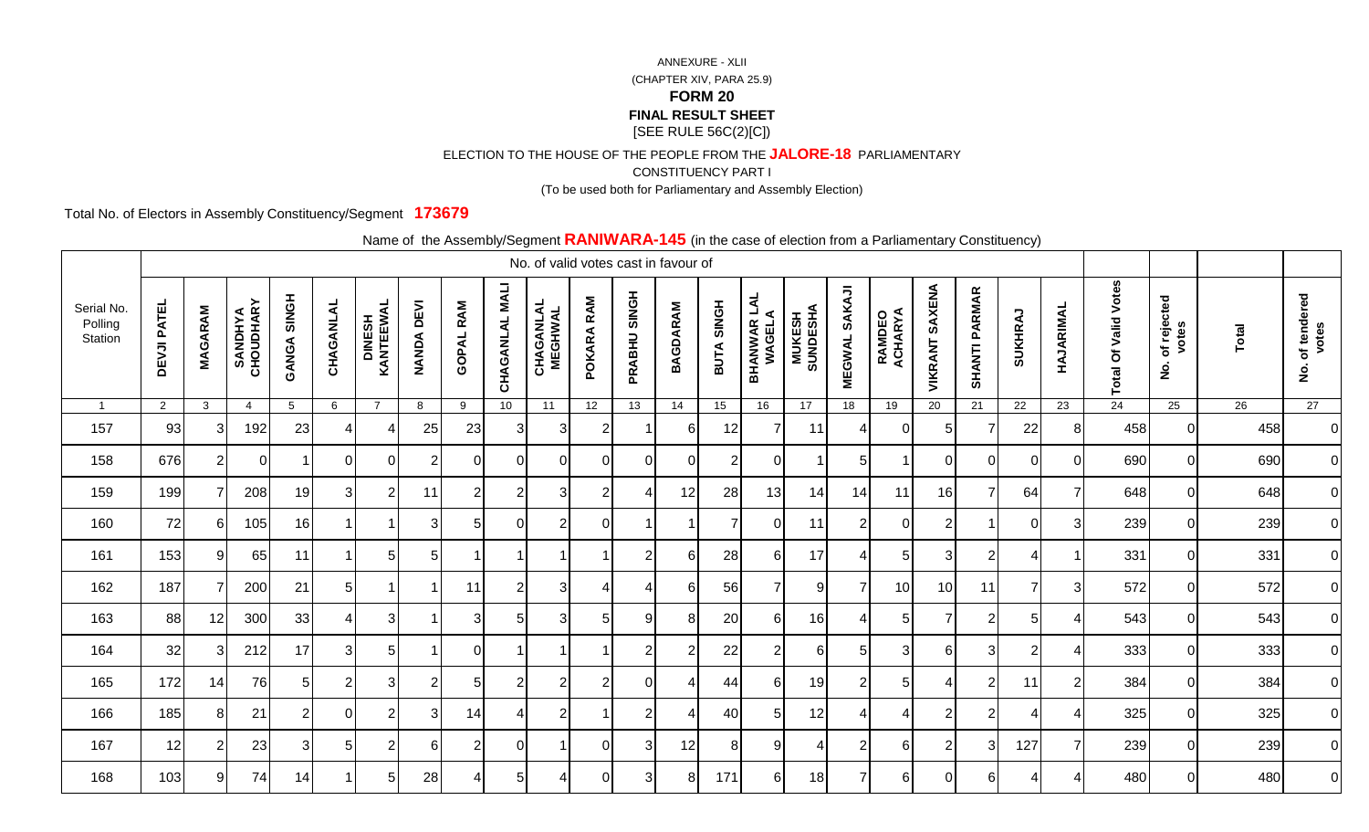ELECTION TO THE HOUSE OF THE PEOPLE FROM THE **JALORE-18** PARLIAMENTARY

CONSTITUENCY PART I

(To be used both for Parliamentary and Assembly Election)

Total No. of Electors in Assembly Constituency/Segment **173679**

|                                  | $\frac{1}{2}$<br>$\sim$ 0.000 or 0.000.011 nome at annumentary conomacticy,<br>No. of valid votes cast in favour of |                |                             |                    |                |                     |                             |                  |                          |                             |                |                |                 |                |                               |                            |                         |                           |                          |                      |                |                |                             |                                            |              |                                            |
|----------------------------------|---------------------------------------------------------------------------------------------------------------------|----------------|-----------------------------|--------------------|----------------|---------------------|-----------------------------|------------------|--------------------------|-----------------------------|----------------|----------------|-----------------|----------------|-------------------------------|----------------------------|-------------------------|---------------------------|--------------------------|----------------------|----------------|----------------|-----------------------------|--------------------------------------------|--------------|--------------------------------------------|
| Serial No.<br>Polling<br>Station | <b>DEVJI PATEL</b>                                                                                                  | <b>MAGARAM</b> | <b>SANDHYA</b><br>CHOUDHARY | <b>GANGA SINGH</b> | CHAGANLAL      | DINESH<br>KANTEEWAL | <b>DEVI</b><br><b>NANDA</b> | <b>GOPAL RAM</b> | <b>NALI</b><br>CHAGANLAL | <b>CHAGANLAL</b><br>MEGHWAL | POKARA RAM     | PRABHU SINGH   | <b>BAGDARAM</b> | BUTA SINGH     | <b>BHANWAR LAL<br/>WAGELA</b> | <b>MUKESH<br/>SUNDESHA</b> | SAKAJI<br><b>MEGWAL</b> | <b>RAMDEO<br/>ACHARYA</b> | <b>SAXENA</b><br>VIKRANT | <b>SHANTI PARMAR</b> | SUKHRAJ        | HAJARIMAL      | <b>Total Of Valid Votes</b> | of rejected<br>votes<br>$\dot{\mathbf{2}}$ | <b>Total</b> | of tendered<br>votes<br>$\dot{\mathbf{g}}$ |
| $\overline{1}$                   | $\overline{2}$                                                                                                      | $\mathbf{3}$   | $\overline{4}$              | $5\phantom{.0}$    | 6              | $\overline{7}$      | 8                           | 9                | 10 <sup>1</sup>          | 11                          | 12             | 13             | 14              | 15             | 16                            | 17                         | 18                      | 19                        | 20                       | 21                   | 22             | 23             | $\overline{24}$             | 25                                         | 26           | 27                                         |
| 157                              | 93                                                                                                                  | 31             | 192                         | 23                 |                |                     | 25                          | 23               | 3 <sup>l</sup>           | 3                           | 2              |                | 6               | 12             | 7                             | 11                         | 4                       | $\Omega$                  | 5                        | $\overline{7}$       | 22             | 8              | 458                         |                                            | 458          | $\overline{0}$                             |
| 158                              | 676                                                                                                                 | $\overline{2}$ | ΩI                          |                    | $\Omega$       | $\overline{0}$      | 2                           | $\overline{0}$   | $\Omega$                 | $\Omega$                    | $\Omega$       | $\Omega$       | $\Omega$        | $\overline{2}$ | $\Omega$                      |                            | $\sqrt{5}$              | -1                        | 0                        | $\overline{0}$       | $\mathbf 0$    | 0              | 690                         | $\Omega$                                   | 690          | $\overline{O}$                             |
| 159                              | 199                                                                                                                 |                | 208                         | 19                 | $\mathbf{3}$   | $\mathbf{2}$        | 11                          | 2                | $\overline{2}$           | 3 <sup>l</sup>              | $\overline{2}$ | 4              | 12              | 28             | 13                            | 14                         | 14                      | 11                        | 16                       | $\overline{7}$       | 64             | $\overline{7}$ | 648                         | $\Omega$                                   | 648          | $\overline{0}$                             |
| 160                              | 72                                                                                                                  | 61             | 105                         | 16                 |                |                     | 3                           | 5                | $\Omega$                 | $\overline{2}$              | $\Omega$       |                |                 | 7              | $\Omega$                      | 11                         | $\overline{2}$          | $\overline{0}$            | $\overline{2}$           | $\overline{1}$       | 0              | 3              | 239                         | $\Omega$                                   | 239          | $\overline{0}$                             |
| 161                              | 153                                                                                                                 | 91             | 65                          | 11                 |                | 5                   | 51                          | -1               |                          |                             |                | $\overline{2}$ | 6               | 28             | 6                             | 17                         | 4                       | 5                         | 3                        | $\overline{2}$       | 4              |                | 331                         | $\Omega$                                   | 331          | $\overline{O}$                             |
| 162                              | 187                                                                                                                 |                | 200                         | 21                 | 5 <sup>1</sup> |                     |                             | 11               | $\overline{2}$           | 3                           | 4              | 4              | 6               | 56             | 7                             | 9                          | $\overline{7}$          | 10                        | 10                       | 11                   | $\overline{7}$ | 3              | 572                         | $\overline{0}$                             | 572          | $\overline{O}$                             |
| 163                              | 88                                                                                                                  | 12             | 300                         | 33                 |                | 3                   |                             | 3                | 5 <sub>1</sub>           | 3                           | 5              | -9             | 8               | 20             | 6                             | 16                         | 4                       | 5                         | $\overline{7}$           | $\overline{2}$       | 5              | Δ              | 543                         | $\Omega$                                   | 543          | $\overline{0}$                             |
| 164                              | 32                                                                                                                  | 31             | 212                         | 17                 | 3              | $5 \mid$            |                             | $\Omega$         |                          |                             |                | $\overline{2}$ | 2               | 22             | $\overline{2}$                | 6                          | 5                       | 3                         | 6                        | 3                    | $\overline{2}$ |                | 333                         | $\Omega$                                   | 333          | $\overline{0}$                             |
| 165                              | 172                                                                                                                 | 14             | 76                          | 5 <sup>1</sup>     | $\overline{2}$ | 3 <sup>l</sup>      | $\overline{2}$              | 5 <sup>1</sup>   | $\overline{2}$           | $\overline{2}$              | $\overline{2}$ | $\mathbf 0$    | 4               | 44             | 6                             | 19                         | $\mathbf{2}$            | 5 <sub>5</sub>            | 4                        | $\mathbf{2}$         | 11             | $\overline{2}$ | 384                         | $\Omega$                                   | 384          | $\overline{0}$                             |
| 166                              | 185                                                                                                                 | 8              | 21                          | $\overline{2}$     | $\Omega$       | $\overline{2}$      | $\mathbf{3}$                | 14               | 4                        | $\overline{2}$              |                | $\overline{2}$ |                 | 40             | 5                             | 12                         | $\overline{4}$          | 4                         | $\overline{2}$           | $\mathbf{2}$         | 4              | 4              | 325                         | $\Omega$                                   | 325          | $\overline{0}$                             |
| 167                              | 12                                                                                                                  |                | 23                          | 3                  | 5              | $\overline{2}$      | 61                          | $\overline{2}$   | $\Omega$                 |                             | $\Omega$       | 3              | 12              | 8              | 9                             | 4                          | $\overline{2}$          | 6                         | $\overline{2}$           | 3                    | 127            | $\overline{7}$ | 239                         | $\Omega$                                   | 239          | $\overline{O}$                             |
| 168                              | 103                                                                                                                 | 9 <sub>l</sub> | 74                          | 14                 |                | $5 \mid$            | 28                          | 4                | 5 <sub>l</sub>           |                             | $\Omega$       | 3              | 8               | 171            | 6                             | 18                         | $\overline{7}$          | 6                         | $\Omega$                 | $6 \mid$             | 4              |                | 480                         | $\Omega$                                   | 480          | $\overline{0}$                             |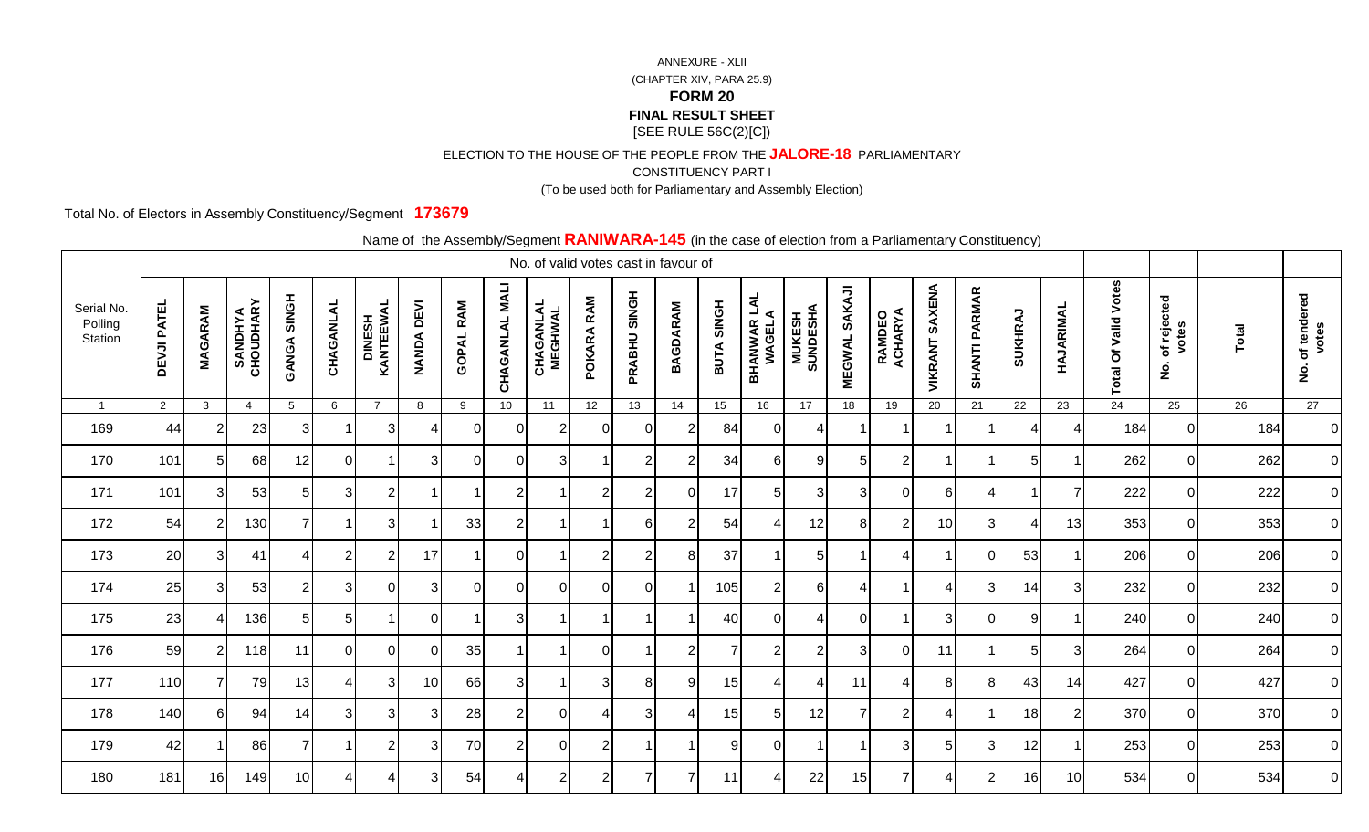ELECTION TO THE HOUSE OF THE PEOPLE FROM THE **JALORE-18** PARLIAMENTARY

CONSTITUENCY PART I

(To be used both for Parliamentary and Assembly Election)

Total No. of Electors in Assembly Constituency/Segment **173679**

|                                  | <u>------------,</u><br>No. of valid votes cast in favour of |                |                             |                    |              |                     |                             |                          |                          |                             |                      |                |                 |            |                               |                            |                         |                   |                   |                          |                 |                |                            |                                            |       |                                            |
|----------------------------------|--------------------------------------------------------------|----------------|-----------------------------|--------------------|--------------|---------------------|-----------------------------|--------------------------|--------------------------|-----------------------------|----------------------|----------------|-----------------|------------|-------------------------------|----------------------------|-------------------------|-------------------|-------------------|--------------------------|-----------------|----------------|----------------------------|--------------------------------------------|-------|--------------------------------------------|
| Serial No.<br>Polling<br>Station | <b>DEVJI PATEL</b>                                           | <b>MAGARAM</b> | <b>SANDHYA</b><br>CHOUDHARY | <b>HONIS AGNAD</b> | CHAGANLAL    | DINESH<br>KANTEEWAL | <b>DEVI</b><br><b>NANDA</b> | <b>GOPAL RAM</b>         | <b>NALI</b><br>CHAGANLAL | <b>CHAGANLAL</b><br>MEGHWAL | RAM<br><b>POKARA</b> | PRABHU SINGH   | <b>BAGDARAM</b> | BUTA SINGH | <b>BHANWAR LAL<br/>WAGELA</b> | <b>MUKESH<br/>SUNDESHA</b> | SAKAJI<br><b>MEGWAL</b> | RAMDEO<br>ACHARYA | SAXENA<br>VIKRANT | <b>SHANTI PARMAR</b>     | SUKHRAJ         | HAJARIMAL      | Votes<br>Valid<br>Total Of | of rejected<br>votes<br>$\dot{\mathbf{2}}$ | Total | of tendered<br>votes<br>$\dot{\mathbf{g}}$ |
| $\overline{1}$                   | $\overline{2}$                                               | $\mathbf{3}$   | $\overline{4}$              | $5\overline{)}$    | 6            | $\overline{7}$      | 8                           | 9                        | 10 <sup>1</sup>          | 11                          | 12                   | 13             | 14              | 15         | 16                            | 17                         | 18                      | 19                | 20                | 21                       | $\overline{22}$ | 23             | $\overline{24}$            | 25                                         | 26    | 27                                         |
| 169                              | 44                                                           |                | 23                          | 3                  |              | 3                   |                             | $\Omega$                 | $\Omega$                 | 2                           | $\Omega$             | $\Omega$       | $\overline{2}$  | 84         | 0                             | Δ                          |                         | -1                | -1                | -1                       | 4               | 4              | 184                        | $\Omega$                                   | 184   | $\overline{O}$                             |
| 170                              | 101                                                          | 51             | 68                          | 12                 | 0            |                     | 3                           | $\Omega$                 | $\Omega$                 | 3                           |                      | $\overline{2}$ | $\overline{2}$  | 34         | 6                             | 9                          | 5 <sub>l</sub>          | $\overline{2}$    | -1                | -1                       | 5               |                | 262                        | $\Omega$                                   | 262   | $\overline{0}$                             |
| 171                              | 101                                                          | 31             | 53                          | 5 <sub>l</sub>     | $\mathbf{3}$ | $\overline{2}$      |                             |                          | $\overline{2}$           |                             | $\overline{2}$       | $\overline{2}$ | 0               | 17         | 5                             | 3 <sup>1</sup>             | 3                       | $\overline{0}$    | 6                 | $\overline{\mathcal{A}}$ | -1              | $\overline{7}$ | 222                        | $\overline{0}$                             | 222   | $\overline{0}$                             |
| 172                              | 54                                                           | $\mathcal{P}$  | 130                         | $\overline{7}$     |              | $\mathbf{3}$        |                             | 33                       | $\overline{2}$           |                             |                      | 6              | 2               | 54         | 4                             | 12                         | 81                      | $\overline{2}$    | 10                | $\mathbf{3}$             | $\overline{4}$  | 13             | 353                        | $\Omega$                                   | 353   | $\overline{0}$                             |
| 173                              | 20                                                           | 3I             | 41                          | 4                  | 2            | $\overline{2}$      | 17                          |                          | $\Omega$                 |                             | 2                    | $\overline{2}$ | 8               | 37         |                               | 5                          |                         | 4                 | -1                | $\overline{0}$           | 53              |                | 206                        | $\Omega$                                   | 206   | $\overline{0}$                             |
| 174                              | 25                                                           | 31             | 53                          | $\overline{2}$     | 3            | $\overline{0}$      | 3                           | $\Omega$                 | $\Omega$                 | $\Omega$                    | $\Omega$             | $\Omega$       |                 | 105        | $\overline{2}$                | $6 \mid$                   | $\overline{4}$          | $\mathbf 1$       | 4                 | $\mathbf{3}$             | 14              | 3              | 232                        | $\Omega$                                   | 232   | $\overline{0}$                             |
| 175                              | 23                                                           | $\Delta$       | 136                         | 5                  | 5            |                     | $\Omega$                    | $\overline{\phantom{a}}$ | 3                        |                             |                      |                |                 | 40         | $\Omega$                      | Δ                          | $\Omega$                | $\overline{1}$    | 3                 | $\Omega$                 | 9               |                | 240                        | $\overline{0}$                             | 240   | $\overline{0}$                             |
| 176                              | 59                                                           | $\overline{2}$ | 118                         | 11                 | $\Omega$     | $\Omega$            | $\Omega$                    | 35                       |                          |                             | C                    |                | $\overline{2}$  |            | $\overline{2}$                | $\overline{2}$             | 3                       | $\overline{0}$    | 11                | $\overline{1}$           | 5               | 3              | 264                        | $\Omega$                                   | 264   | $\overline{0}$                             |
| 177                              | 110                                                          | 7              | 79                          | 13                 | 4            | $\mathbf{3}$        | 10                          | 66                       | 31                       |                             | 3                    | 8              | 9               | 15         | 4                             | 4                          | 11                      | $\overline{4}$    | 8                 | 8 <sup>1</sup>           | 43              | 14             | 427                        | $\Omega$                                   | 427   | $\overline{0}$                             |
| 178                              | 140                                                          | 61             | 94                          | 14                 | 3            | $\mathbf{3}$        | 3                           | 28                       | $\overline{2}$           | $\Omega$                    | 4                    | 3              | 4               | 15         | 5                             | 12                         | $\overline{7}$          | $\overline{2}$    | 4                 | $\overline{1}$           | 18              | $\overline{2}$ | 370                        | $\Omega$                                   | 370   | $\overline{0}$                             |
| 179                              | 42                                                           |                | 86                          | 7                  |              | $\overline{2}$      | 31                          | 70                       | $\mathfrak{p}$           | $\Omega$                    | $\overline{2}$       |                |                 | 9          | $\Omega$                      |                            | $\overline{1}$          | 3                 | 5                 | 3                        | 12              |                | 253                        | $\Omega$                                   | 253   | $\overline{0}$                             |
| 180                              | 181                                                          | 16             | 149                         | 10 <sup>1</sup>    |              |                     | 3                           | 54                       |                          | $\overline{2}$              | $\overline{2}$       | 7              | 7               | 11         | 4                             | 22                         | 15                      | $\overline{7}$    | 4                 | $\mathbf{2}$             | 16              | 10             | 534                        | $\Omega$                                   | 534   | $\overline{O}$                             |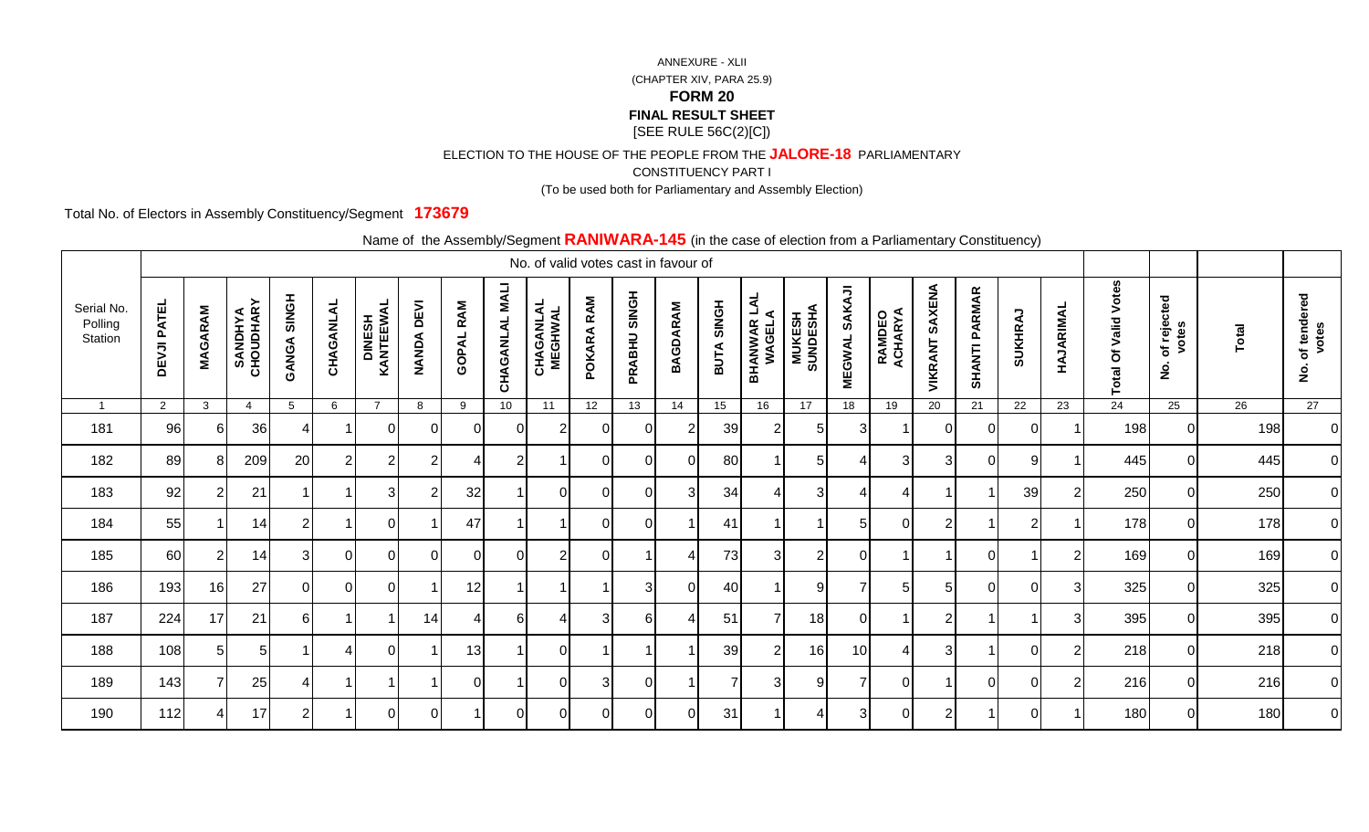ELECTION TO THE HOUSE OF THE PEOPLE FROM THE **JALORE-18** PARLIAMENTARY

CONSTITUENCY PART I

(To be used both for Parliamentary and Assembly Election)

Total No. of Electors in Assembly Constituency/Segment **173679**

|                                  |                    |                |                             |                       |                |                             |                |              |                          | No. of valid votes cast in favour of |                |                 |                |                             |                               |                            |                                |                   |                   |                      | $\overline{\phantom{a}}$ |                |                             |                                        |       |                                            |
|----------------------------------|--------------------|----------------|-----------------------------|-----------------------|----------------|-----------------------------|----------------|--------------|--------------------------|--------------------------------------|----------------|-----------------|----------------|-----------------------------|-------------------------------|----------------------------|--------------------------------|-------------------|-------------------|----------------------|--------------------------|----------------|-----------------------------|----------------------------------------|-------|--------------------------------------------|
| Serial No.<br>Polling<br>Station | <b>DEVJI PATEL</b> | <b>MAGARAM</b> | <b>SANDHYA</b><br>CHOUDHARY | <b>SINGH</b><br>GANGA | CHAGANLAL      | <b>DINESH<br/>KANTEEWAL</b> | DEVI<br>NANDA  | RAM<br>GOPAL | <b>MALI</b><br>CHAGANLAL | <b>CHAGANLAL</b><br>MEGHWAL          | RAM<br>POKARA  | SINGH<br>PRABHU | BAGDARAM       | <b>SINGH</b><br><b>BUTA</b> | <b>BHANWAR LAL<br/>WAGELA</b> | <b>MUKESH<br/>SUNDESHA</b> | <b>SAKAJI</b><br><b>MEGWAL</b> | RAMDEO<br>ACHARYA | SAXENA<br>VIKRANT | <b>SHANTI PARMAR</b> | <b>SUKHRAJ</b>           | HAJARIMAL      | <b>Total Of Valid Votes</b> | of rejected<br>votes<br>$\overline{2}$ | Total | of tendered<br>votes<br>$\dot{\mathbf{2}}$ |
| $\overline{1}$                   | $\overline{2}$     | 3              | $\overline{4}$              | 5                     | 6              | $\overline{7}$              | 8              | 9            | 10                       | 11                                   | 12             | 13              | 14             | 15                          | 16                            | 17                         | 18                             | 19                | 20                | 21                   | 22                       | 23             | $\overline{24}$             | 25                                     | 26    | 27                                         |
| 181                              | 96                 | 61             | 36                          |                       |                | 0                           | $\Omega$       | 0            | 0                        | 2                                    | $\Omega$       |                 | $\overline{2}$ | 39                          | 2                             | 5                          | 3                              |                   | $\Omega$          | 0                    | $\overline{0}$           |                | 198                         | 0I                                     | 198   | $\overline{0}$                             |
| 182                              | 89                 | 81             | 209                         | 20                    | $\overline{2}$ | 2                           | 2              |              | $\overline{2}$           |                                      | $\Omega$       | $\Omega$        | $\Omega$       | 80                          |                               | 5                          | 4                              | 3                 | 3                 | $\Omega$             | 9                        |                | 445                         | ΟI                                     | 445   | $\overline{0}$                             |
| 183                              | 92                 | $\overline{2}$ | 21                          | -1                    |                | 3                           | $\overline{2}$ | 32           |                          | $\Omega$                             | $\Omega$       | $\Omega$        | $\overline{3}$ | 34                          |                               | 3                          | 4                              | Δ                 |                   |                      | 39                       | $\mathfrak{p}$ | 250                         | $\overline{0}$                         | 250   | $\overline{0}$                             |
| 184                              | 55                 |                | 14                          | $\overline{2}$        |                | ΩI                          |                | 47           |                          |                                      | $\Omega$       | $\Omega$        |                | 41                          |                               |                            | 5                              | $\Omega$          | $\overline{2}$    |                      | $\overline{2}$           |                | 178                         | $\overline{0}$                         | 178   | $\overline{0}$                             |
| 185                              | 60                 | $\overline{2}$ | 14                          | 31                    | $\Omega$       | $\Omega$                    | $\Omega$       | $\Omega$     | $\Omega$                 | $\overline{2}$                       | $\Omega$       |                 | 4              | 73                          | 3                             | $\overline{2}$             | $\mathbf 0$                    |                   |                   | 0                    |                          | $\mathcal{P}$  | 169                         | ΟI                                     | 169   | $\overline{0}$                             |
| 186                              | 193                | 16             | 27                          | $\overline{0}$        | $\Omega$       | $\Omega$                    |                | 12           |                          |                                      |                | 3               | $\Omega$       | 40                          |                               | 9                          | 7                              | 5                 | 5                 | $\Omega$             | $\Omega$                 | $\overline{3}$ | 325                         | $\overline{0}$                         | 325   | $\overline{0}$                             |
| 187                              | 224                | 17             | 21                          | $6 \mid$              |                |                             | 14             | 4            | 61                       | $\overline{\mathcal{L}}$             | $\overline{3}$ | 6               | Δ              | 51                          | 7                             | 18                         | $\overline{0}$                 |                   | $\overline{2}$    |                      |                          | $\overline{3}$ | 395                         | $\overline{0}$                         | 395   | $\overline{0}$                             |
| 188                              | 108                | 51             | 51                          |                       |                | 0                           |                | 13           |                          | $\overline{0}$                       |                |                 |                | 39                          | 2                             | 16                         | 10                             | 4                 | 3                 |                      | $\Omega$                 | $\overline{2}$ | 218                         | $\overline{0}$                         | 218   | $\overline{0}$                             |
| 189                              | 143                |                | 25                          | $\overline{4}$        |                |                             |                | 0            |                          | $\overline{0}$                       | 3 <sub>l</sub> |                 |                |                             | 3                             | 9                          | 7                              | $\Omega$          |                   | $\Omega$             | $\overline{0}$           | 2              | 216                         | 0I                                     | 216   | $\overline{0}$                             |
| 190                              | 112                |                | 17                          | 2 <sub>1</sub>        |                | 0                           | 0              |              | $\Omega$                 | 0                                    | $\Omega$       |                 |                | 31                          |                               |                            | 3                              | 0                 | $\overline{2}$    |                      | $\Omega$                 |                | 180                         | ΟI                                     | 180   | $\overline{0}$                             |